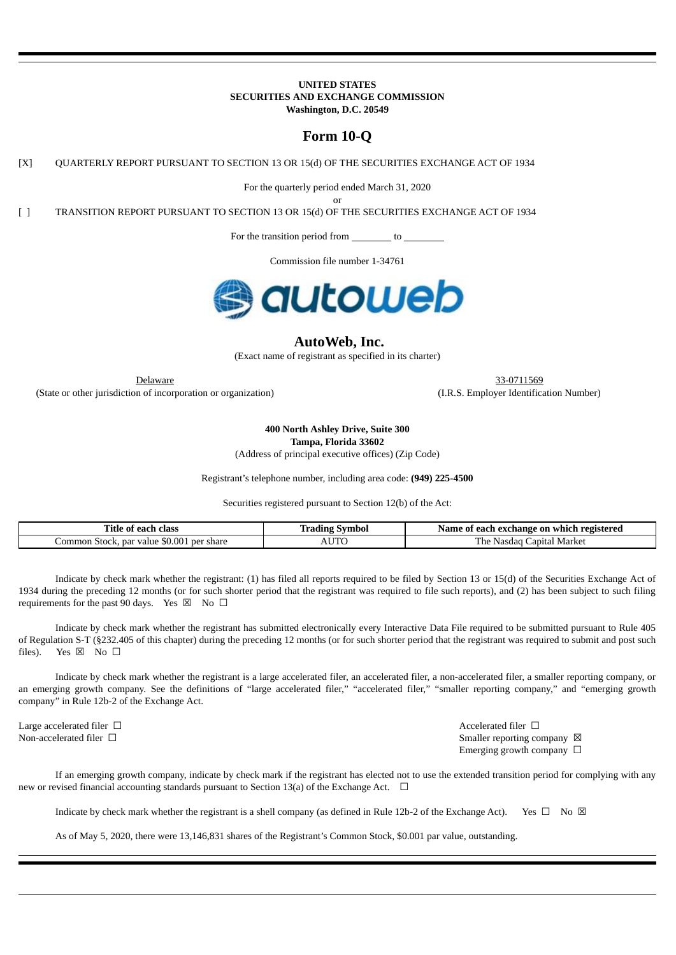### **UNITED STATES SECURITIES AND EXCHANGE COMMISSION Washington, D.C. 20549**

# **Form 10-Q**

[X] QUARTERLY REPORT PURSUANT TO SECTION 13 OR 15(d) OF THE SECURITIES EXCHANGE ACT OF 1934

For the quarterly period ended March 31, 2020

or [ ] TRANSITION REPORT PURSUANT TO SECTION 13 OR 15(d) OF THE SECURITIES EXCHANGE ACT OF 1934

For the transition period from \_\_\_\_\_\_\_\_ to \_\_\_\_\_\_

Commission file number 1-34761



# **AutoWeb, Inc.**

(Exact name of registrant as specified in its charter)

(State or other jurisdiction of incorporation or organization) (I.R.S. Employer Identification Number)

**Delaware 33-0711569** 

**400 North Ashley Drive, Suite 300**

**Tampa, Florida 33602**

(Address of principal executive offices) (Zip Code)

Registrant's telephone number, including area code: **(949) 225-4500**

Securities registered pursuant to Section 12(b) of the Act:

| <b>TIME</b><br>ïtle<br>class<br>each<br>0Ť.                                      | $\overline{\phantom{0}}$<br>Svmbol | -on<br>registered<br>each<br>same<br>. exchange<br>which<br>-n1 |
|----------------------------------------------------------------------------------|------------------------------------|-----------------------------------------------------------------|
| $\sim$<br>$\sim$<br>common<br>ner<br>' share<br>nar<br>zalue<br>Stock.<br>30.00T | $\tau$ and $\tau$                  | -<br>l'he<br>Marke<br>∵anita.<br>.<br>лас<br>Nas                |

Indicate by check mark whether the registrant: (1) has filed all reports required to be filed by Section 13 or 15(d) of the Securities Exchange Act of 1934 during the preceding 12 months (or for such shorter period that the registrant was required to file such reports), and (2) has been subject to such filing requirements for the past 90 days. Yes  $\boxtimes$  No  $\Box$ 

Indicate by check mark whether the registrant has submitted electronically every Interactive Data File required to be submitted pursuant to Rule 405 of Regulation S-T (§232.405 of this chapter) during the preceding 12 months (or for such shorter period that the registrant was required to submit and post such files). Yes  $\boxtimes$  No  $\square$ 

Indicate by check mark whether the registrant is a large accelerated filer, an accelerated filer, a non-accelerated filer, a smaller reporting company, or an emerging growth company. See the definitions of "large accelerated filer," "accelerated filer," "smaller reporting company," and "emerging growth company" in Rule 12b-2 of the Exchange Act.

Large accelerated filer ☐ Accelerated filer ☐

Non-accelerated filer □ state state of the state of the state of the Smaller reporting company ⊠ Emerging growth company  $\Box$ 

If an emerging growth company, indicate by check mark if the registrant has elected not to use the extended transition period for complying with any new or revised financial accounting standards pursuant to Section 13(a) of the Exchange Act.  $\Box$ 

Indicate by check mark whether the registrant is a shell company (as defined in Rule 12b-2 of the Exchange Act). Yes  $\Box$  No  $\boxtimes$ 

As of May 5, 2020, there were 13,146,831 shares of the Registrant's Common Stock, \$0.001 par value, outstanding.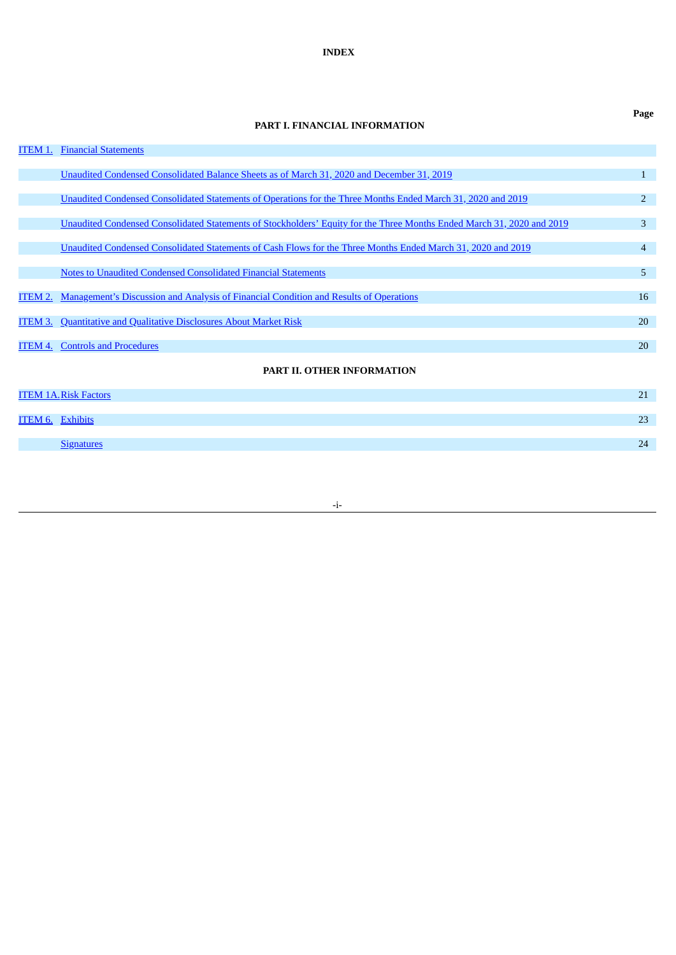<span id="page-1-0"></span>**INDEX**

# **PART I. FINANCIAL INFORMATION**

| ITEM 1. | <b>Financial Statements</b>                                                                                            |                |
|---------|------------------------------------------------------------------------------------------------------------------------|----------------|
|         |                                                                                                                        |                |
|         | Unaudited Condensed Consolidated Balance Sheets as of March 31, 2020 and December 31, 2019                             | $\mathbf{1}$   |
|         |                                                                                                                        |                |
|         | Unaudited Condensed Consolidated Statements of Operations for the Three Months Ended March 31, 2020 and 2019           | $\overline{2}$ |
|         |                                                                                                                        |                |
|         | Unaudited Condensed Consolidated Statements of Stockholders' Equity for the Three Months Ended March 31, 2020 and 2019 | 3              |
|         | Unaudited Condensed Consolidated Statements of Cash Flows for the Three Months Ended March 31, 2020 and 2019           | $\overline{4}$ |
|         |                                                                                                                        |                |
|         | <b>Notes to Unaudited Condensed Consolidated Financial Statements</b>                                                  | 5              |
|         |                                                                                                                        |                |
| ITEM 2. | Management's Discussion and Analysis of Financial Condition and Results of Operations                                  | 16             |
|         |                                                                                                                        |                |
| ITEM 3. | Quantitative and Qualitative Disclosures About Market Risk                                                             | 20             |
|         |                                                                                                                        |                |
| ITEM 4. | <b>Controls and Procedures</b>                                                                                         | 20             |
|         |                                                                                                                        |                |
|         | <b>PART II. OTHER INFORMATION</b>                                                                                      |                |
|         |                                                                                                                        |                |
|         | <b>ITEM 1A.Risk Factors</b>                                                                                            | 21             |
|         | <b>ITEM 6. Exhibits</b>                                                                                                | 23             |
|         |                                                                                                                        |                |
|         | <b>Signatures</b>                                                                                                      | 24             |
|         |                                                                                                                        |                |
|         |                                                                                                                        |                |

-i-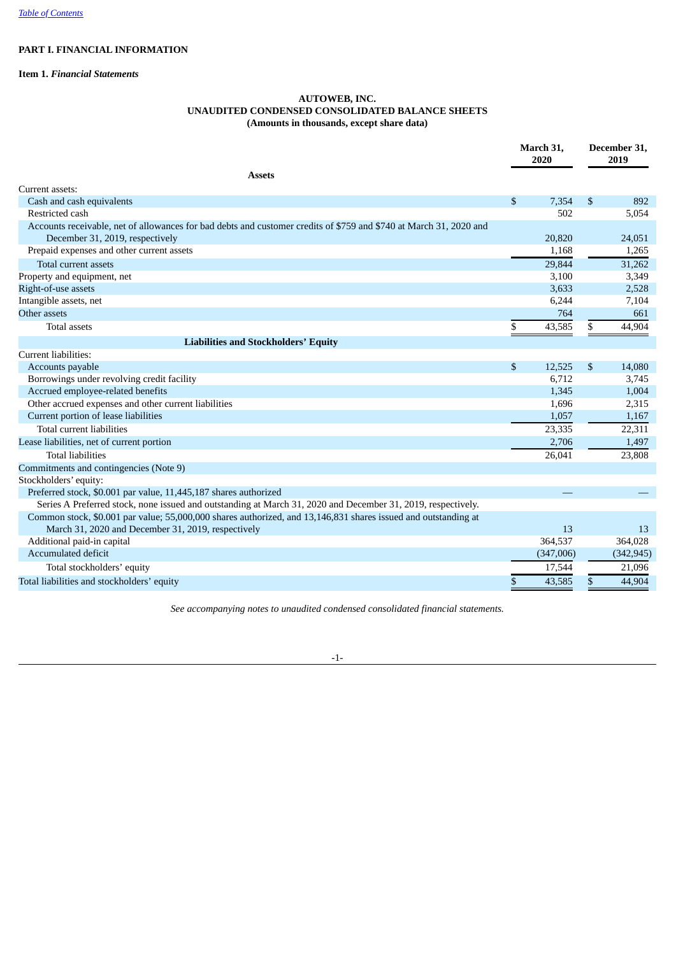# <span id="page-2-0"></span>**PART I. FINANCIAL INFORMATION**

# **Item 1.** *Financial Statements*

### **AUTOWEB, INC. UNAUDITED CONDENSED CONSOLIDATED BALANCE SHEETS (Amounts in thousands, except share data)**

|                                                                                                                                                       | March 31,<br>2020 | December 31,<br>2019 |
|-------------------------------------------------------------------------------------------------------------------------------------------------------|-------------------|----------------------|
| <b>Assets</b>                                                                                                                                         |                   |                      |
| Current assets:                                                                                                                                       |                   |                      |
| Cash and cash equivalents                                                                                                                             | \$<br>7,354       | \$<br>892            |
| Restricted cash                                                                                                                                       | 502               | 5,054                |
| Accounts receivable, net of allowances for bad debts and customer credits of \$759 and \$740 at March 31, 2020 and<br>December 31, 2019, respectively | 20,820            | 24,051               |
| Prepaid expenses and other current assets                                                                                                             | 1,168             | 1,265                |
| Total current assets                                                                                                                                  | 29,844            | 31,262               |
| Property and equipment, net                                                                                                                           | 3,100             | 3,349                |
| Right-of-use assets                                                                                                                                   | 3,633             | 2,528                |
| Intangible assets, net                                                                                                                                | 6,244             | 7,104                |
| Other assets                                                                                                                                          | 764               | 661                  |
| <b>Total assets</b>                                                                                                                                   | \$<br>43,585      | \$<br>44,904         |
| <b>Liabilities and Stockholders' Equity</b>                                                                                                           |                   |                      |
| Current liabilities:                                                                                                                                  |                   |                      |
| Accounts payable                                                                                                                                      | \$<br>12,525      | \$<br>14,080         |
| Borrowings under revolving credit facility                                                                                                            | 6,712             | 3,745                |
| Accrued employee-related benefits                                                                                                                     | 1,345             | 1,004                |
| Other accrued expenses and other current liabilities                                                                                                  | 1,696             | 2,315                |
| Current portion of lease liabilities                                                                                                                  | 1,057             | 1,167                |
| Total current liabilities                                                                                                                             | 23,335            | 22,311               |
| Lease liabilities, net of current portion                                                                                                             | 2,706             | 1,497                |
| <b>Total liabilities</b>                                                                                                                              | 26,041            | 23,808               |
| Commitments and contingencies (Note 9)                                                                                                                |                   |                      |
| Stockholders' equity:                                                                                                                                 |                   |                      |
| Preferred stock, \$0.001 par value, 11,445,187 shares authorized                                                                                      |                   |                      |
| Series A Preferred stock, none issued and outstanding at March 31, 2020 and December 31, 2019, respectively.                                          |                   |                      |
| Common stock, \$0.001 par value; 55,000,000 shares authorized, and 13,146,831 shares issued and outstanding at                                        |                   |                      |
| March 31, 2020 and December 31, 2019, respectively                                                                                                    | 13                | 13                   |
| Additional paid-in capital                                                                                                                            | 364,537           | 364,028              |
| <b>Accumulated deficit</b>                                                                                                                            | (347,006)         | (342, 945)           |
| Total stockholders' equity                                                                                                                            | 17,544            | 21,096               |
| Total liabilities and stockholders' equity                                                                                                            | \$<br>43,585      | \$<br>44,904         |

*See accompanying notes to unaudited condensed consolidated financial statements.*

-1-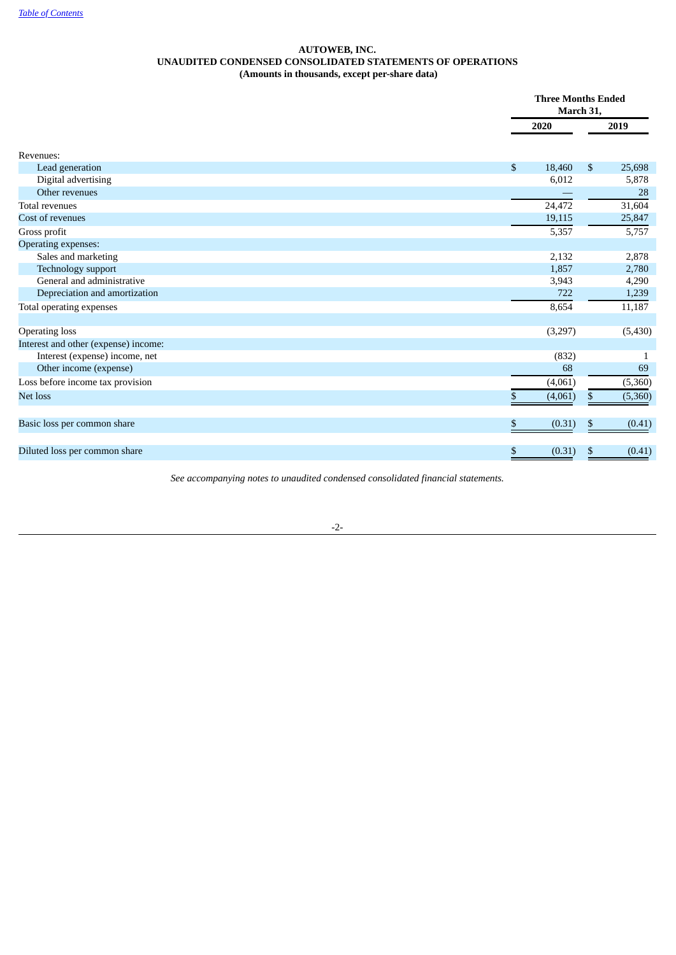### <span id="page-3-0"></span>**AUTOWEB, INC. UNAUDITED CONDENSED CONSOLIDATED STATEMENTS OF OPERATIONS (Amounts in thousands, except per-share data)**

|                                                          |              | <b>Three Months Ended</b><br>March 31, |
|----------------------------------------------------------|--------------|----------------------------------------|
|                                                          | 2020         | 2019                                   |
| Revenues:                                                |              |                                        |
| Lead generation                                          | \$<br>18,460 | $\mathfrak{S}$<br>25,698               |
| Digital advertising                                      | 6,012        | 5,878                                  |
| Other revenues                                           |              | 28                                     |
| Total revenues                                           | 24,472       | 31,604                                 |
| Cost of revenues                                         | 19,115       | 25,847                                 |
| Gross profit                                             | 5,357        | 5,757                                  |
| Operating expenses:                                      |              |                                        |
| Sales and marketing                                      | 2,132        | 2,878                                  |
| Technology support                                       | 1,857        | 2,780                                  |
| General and administrative                               | 3,943        | 4,290                                  |
| Depreciation and amortization                            | 722          | 1,239                                  |
| Total operating expenses                                 | 8,654        | 11,187                                 |
|                                                          |              |                                        |
| <b>Operating loss</b>                                    | (3,297)      | (5, 430)                               |
| Interest and other (expense) income:                     |              |                                        |
| Interest (expense) income, net<br>Other income (expense) | (832)<br>68  | 1<br>69                                |
|                                                          |              |                                        |
| Loss before income tax provision                         | (4,061)      | (5,360)                                |
| <b>Net loss</b>                                          | (4,061)<br>S | (5,360)<br>\$                          |
| Basic loss per common share                              | (0.31)<br>\$ | \$<br>(0.41)                           |
|                                                          |              |                                        |
| Diluted loss per common share                            | \$<br>(0.31) | (0.41)<br>\$                           |

*See accompanying notes to unaudited condensed consolidated financial statements.*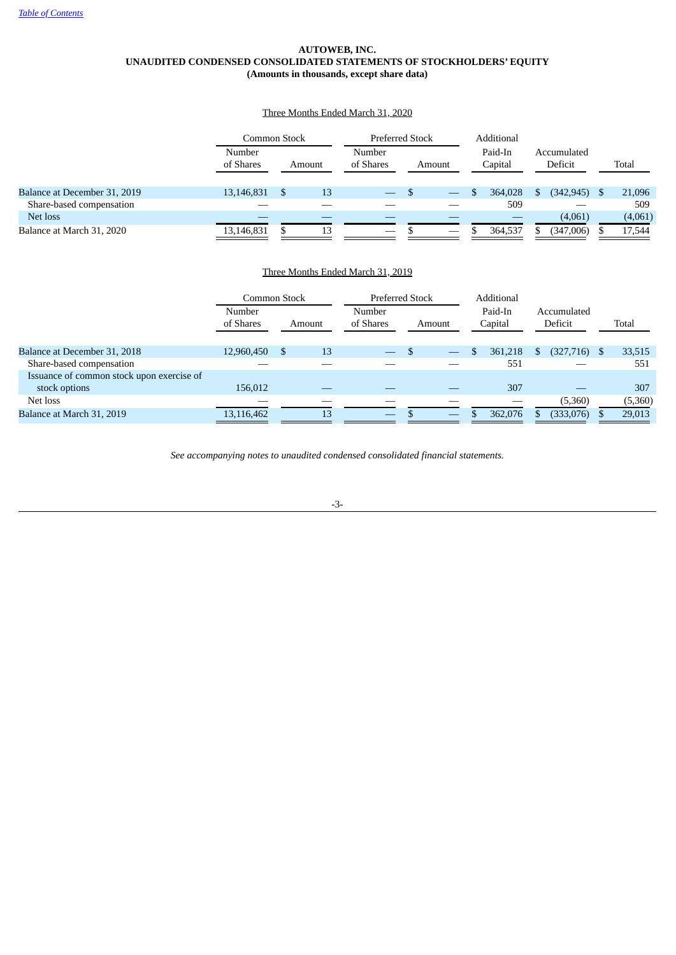### **AUTOWEB, INC. UNAUDITED CONDENSED CONSOLIDATED STATEMENTS OF STOCKHOLDERS' EQUITY (Amounts in thousands, except share data)**

# <span id="page-4-0"></span>Three Months Ended March 31, 2020

|                              | Common Stock        |        | <b>Preferred Stock</b> |                   | Additional         |    |                        |         |
|------------------------------|---------------------|--------|------------------------|-------------------|--------------------|----|------------------------|---------|
|                              | Number<br>of Shares | Amount | Number<br>of Shares    | Amount            | Paid-In<br>Capital |    | Accumulated<br>Deficit | Total   |
| Balance at December 31, 2019 | 13,146,831          | 13     | $\hspace{0.05cm}$      | $\hspace{0.05cm}$ | 364,028            | S. | (342, 945)             | 21,096  |
| Share-based compensation     |                     |        |                        |                   | 509                |    |                        | 509     |
| Net loss                     |                     |        |                        |                   |                    |    | (4,061)                | (4,061) |
| Balance at March 31, 2020    | 13,146,831          | 13     |                        |                   | 364,537            |    | (347,006)              | 17,544  |

# Three Months Ended March 31, 2019

|                                           |                     | Common Stock |                     | <b>Preferred Stock</b> | Additional         |                        |         |
|-------------------------------------------|---------------------|--------------|---------------------|------------------------|--------------------|------------------------|---------|
|                                           | Number<br>of Shares | Amount       | Number<br>of Shares | Amount                 | Paid-In<br>Capital | Accumulated<br>Deficit | Total   |
| Balance at December 31, 2018              | 12,960,450          | 13<br>S      |                     |                        | 361,218            | $(327,716)$ \$<br>S.   | 33,515  |
| Share-based compensation                  |                     |              |                     |                        | 551                |                        | 551     |
| Issuance of common stock upon exercise of |                     |              |                     |                        |                    |                        |         |
| stock options                             | 156,012             |              |                     |                        | 307                |                        | 307     |
| Net loss                                  |                     |              |                     |                        |                    | (5,360)                | (5,360) |
| Balance at March 31, 2019                 | 13,116,462          | 13           |                     |                        | 362,076            | (333,076)              | 29,013  |

*See accompanying notes to unaudited condensed consolidated financial statements.*

-3-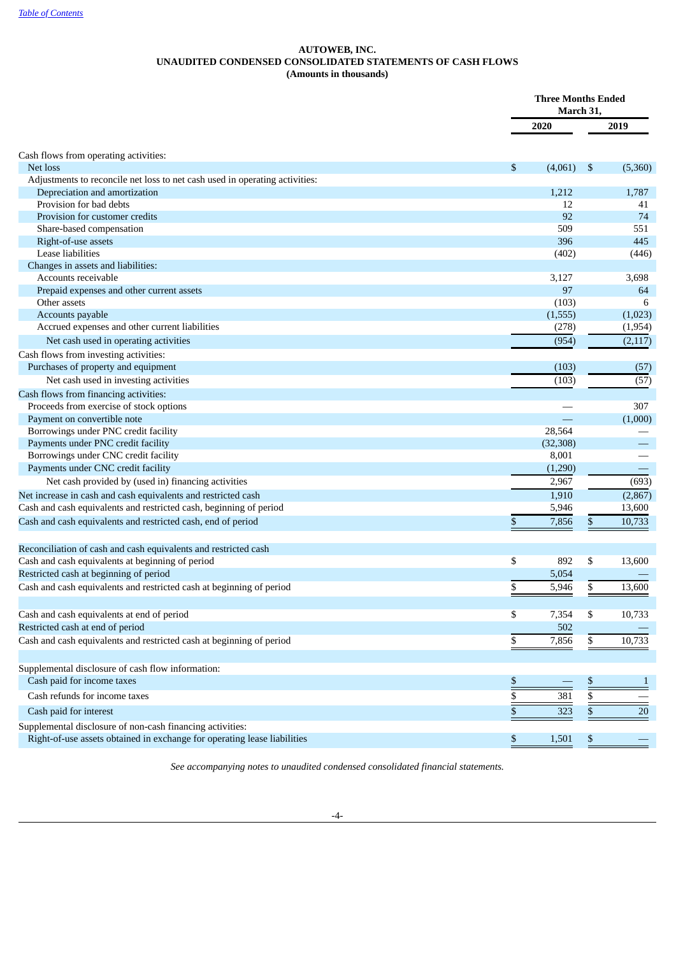## <span id="page-5-0"></span>**AUTOWEB, INC. UNAUDITED CONDENSED CONSOLIDATED STATEMENTS OF CASH FLOWS (Amounts in thousands)**

|                                                                                                                                       |               | <b>Three Months Ended</b><br>March 31, |
|---------------------------------------------------------------------------------------------------------------------------------------|---------------|----------------------------------------|
|                                                                                                                                       | 2020          | 2019                                   |
| Cash flows from operating activities:                                                                                                 |               |                                        |
| Net loss                                                                                                                              | \$<br>(4,061) | \$<br>(5,360)                          |
| Adjustments to reconcile net loss to net cash used in operating activities:                                                           |               |                                        |
| Depreciation and amortization                                                                                                         | 1,212         | 1,787                                  |
| Provision for bad debts                                                                                                               | 12            | 41                                     |
| Provision for customer credits                                                                                                        | 92            | 74                                     |
| Share-based compensation                                                                                                              | 509           | 551                                    |
| Right-of-use assets                                                                                                                   | 396           | 445                                    |
| Lease liabilities                                                                                                                     | (402)         | (446)                                  |
| Changes in assets and liabilities:                                                                                                    |               |                                        |
| Accounts receivable                                                                                                                   | 3,127         | 3,698                                  |
| Prepaid expenses and other current assets                                                                                             | 97            | 64                                     |
| Other assets                                                                                                                          | (103)         | 6                                      |
| Accounts payable                                                                                                                      | (1, 555)      | (1,023)                                |
| Accrued expenses and other current liabilities                                                                                        | (278)         | (1,954)                                |
| Net cash used in operating activities                                                                                                 | (954)         | (2, 117)                               |
| Cash flows from investing activities:                                                                                                 |               |                                        |
| Purchases of property and equipment                                                                                                   | (103)         | (57)                                   |
| Net cash used in investing activities                                                                                                 | (103)         | (57)                                   |
| Cash flows from financing activities:                                                                                                 |               |                                        |
| Proceeds from exercise of stock options                                                                                               |               | 307                                    |
| Payment on convertible note                                                                                                           |               | (1,000)                                |
| Borrowings under PNC credit facility                                                                                                  | 28,564        |                                        |
| Payments under PNC credit facility                                                                                                    | (32, 308)     |                                        |
| Borrowings under CNC credit facility                                                                                                  | 8,001         |                                        |
| Payments under CNC credit facility                                                                                                    | (1,290)       |                                        |
| Net cash provided by (used in) financing activities                                                                                   | 2,967         | (693)                                  |
| Net increase in cash and cash equivalents and restricted cash                                                                         | 1,910         | (2,867)                                |
| Cash and cash equivalents and restricted cash, beginning of period                                                                    | 5,946         | 13,600                                 |
| Cash and cash equivalents and restricted cash, end of period                                                                          | \$<br>7,856   | \$<br>10,733                           |
| Reconciliation of cash and cash equivalents and restricted cash                                                                       |               |                                        |
| Cash and cash equivalents at beginning of period                                                                                      | \$<br>892     | \$<br>13,600                           |
| Restricted cash at beginning of period                                                                                                | 5,054         |                                        |
| Cash and cash equivalents and restricted cash at beginning of period                                                                  | \$<br>5,946   | \$<br>13,600                           |
|                                                                                                                                       |               |                                        |
| Cash and cash equivalents at end of period                                                                                            | \$<br>7,354   | \$<br>10,733                           |
| Restricted cash at end of period                                                                                                      | 502           |                                        |
| Cash and cash equivalents and restricted cash at beginning of period                                                                  | 7,856<br>\$   | 10,733<br>\$                           |
| Supplemental disclosure of cash flow information:                                                                                     |               |                                        |
| Cash paid for income taxes                                                                                                            | \$            | $\frac{1}{2}$<br>$\mathbf{1}$          |
| Cash refunds for income taxes                                                                                                         | \$<br>381     | \$                                     |
|                                                                                                                                       |               |                                        |
| Cash paid for interest                                                                                                                | \$<br>323     | \$<br>20                               |
| Supplemental disclosure of non-cash financing activities:<br>Right-of-use assets obtained in exchange for operating lease liabilities | \$<br>1,501   | \$                                     |

*See accompanying notes to unaudited condensed consolidated financial statements.*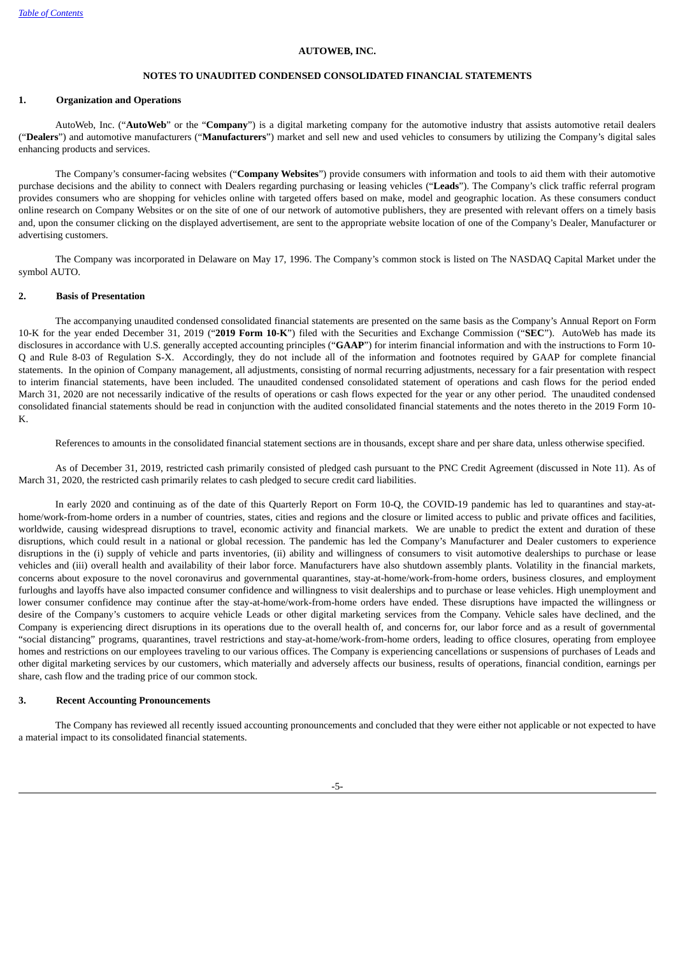#### **AUTOWEB, INC.**

#### <span id="page-6-0"></span>**NOTES TO UNAUDITED CONDENSED CONSOLIDATED FINANCIAL STATEMENTS**

#### **1. Organization and Operations**

AutoWeb, Inc. ("**AutoWeb**" or the "**Company**") is a digital marketing company for the automotive industry that assists automotive retail dealers ("**Dealers**") and automotive manufacturers ("**Manufacturers**") market and sell new and used vehicles to consumers by utilizing the Company's digital sales enhancing products and services.

The Company's consumer-facing websites ("**Company Websites**") provide consumers with information and tools to aid them with their automotive purchase decisions and the ability to connect with Dealers regarding purchasing or leasing vehicles ("**Leads**"). The Company's click traffic referral program provides consumers who are shopping for vehicles online with targeted offers based on make, model and geographic location. As these consumers conduct online research on Company Websites or on the site of one of our network of automotive publishers, they are presented with relevant offers on a timely basis and, upon the consumer clicking on the displayed advertisement, are sent to the appropriate website location of one of the Company's Dealer, Manufacturer or advertising customers.

The Company was incorporated in Delaware on May 17, 1996. The Company's common stock is listed on The NASDAQ Capital Market under the symbol AUTO.

#### **2. Basis of Presentation**

The accompanying unaudited condensed consolidated financial statements are presented on the same basis as the Company's Annual Report on Form 10-K for the year ended December 31, 2019 ("**2019 Form 10-K**") filed with the Securities and Exchange Commission ("**SEC**"). AutoWeb has made its disclosures in accordance with U.S. generally accepted accounting principles ("**GAAP**") for interim financial information and with the instructions to Form 10- Q and Rule 8-03 of Regulation S-X. Accordingly, they do not include all of the information and footnotes required by GAAP for complete financial statements. In the opinion of Company management, all adjustments, consisting of normal recurring adjustments, necessary for a fair presentation with respect to interim financial statements, have been included. The unaudited condensed consolidated statement of operations and cash flows for the period ended March 31, 2020 are not necessarily indicative of the results of operations or cash flows expected for the year or any other period. The unaudited condensed consolidated financial statements should be read in conjunction with the audited consolidated financial statements and the notes thereto in the 2019 Form 10- K.

References to amounts in the consolidated financial statement sections are in thousands, except share and per share data, unless otherwise specified.

As of December 31, 2019, restricted cash primarily consisted of pledged cash pursuant to the PNC Credit Agreement (discussed in Note 11). As of March 31, 2020, the restricted cash primarily relates to cash pledged to secure credit card liabilities.

In early 2020 and continuing as of the date of this Quarterly Report on Form 10-Q, the COVID-19 pandemic has led to quarantines and stay-athome/work-from-home orders in a number of countries, states, cities and regions and the closure or limited access to public and private offices and facilities, worldwide, causing widespread disruptions to travel, economic activity and financial markets. We are unable to predict the extent and duration of these disruptions, which could result in a national or global recession. The pandemic has led the Company's Manufacturer and Dealer customers to experience disruptions in the (i) supply of vehicle and parts inventories, (ii) ability and willingness of consumers to visit automotive dealerships to purchase or lease vehicles and (iii) overall health and availability of their labor force. Manufacturers have also shutdown assembly plants. Volatility in the financial markets, concerns about exposure to the novel coronavirus and governmental quarantines, stay-at-home/work-from-home orders, business closures, and employment furloughs and layoffs have also impacted consumer confidence and willingness to visit dealerships and to purchase or lease vehicles. High unemployment and lower consumer confidence may continue after the stay-at-home/work-from-home orders have ended. These disruptions have impacted the willingness or desire of the Company's customers to acquire vehicle Leads or other digital marketing services from the Company. Vehicle sales have declined, and the Company is experiencing direct disruptions in its operations due to the overall health of, and concerns for, our labor force and as a result of governmental "social distancing" programs, quarantines, travel restrictions and stay-at-home/work-from-home orders, leading to office closures, operating from employee homes and restrictions on our employees traveling to our various offices. The Company is experiencing cancellations or suspensions of purchases of Leads and other digital marketing services by our customers, which materially and adversely affects our business, results of operations, financial condition, earnings per share, cash flow and the trading price of our common stock.

### **3. Recent Accounting Pronouncements**

The Company has reviewed all recently issued accounting pronouncements and concluded that they were either not applicable or not expected to have a material impact to its consolidated financial statements.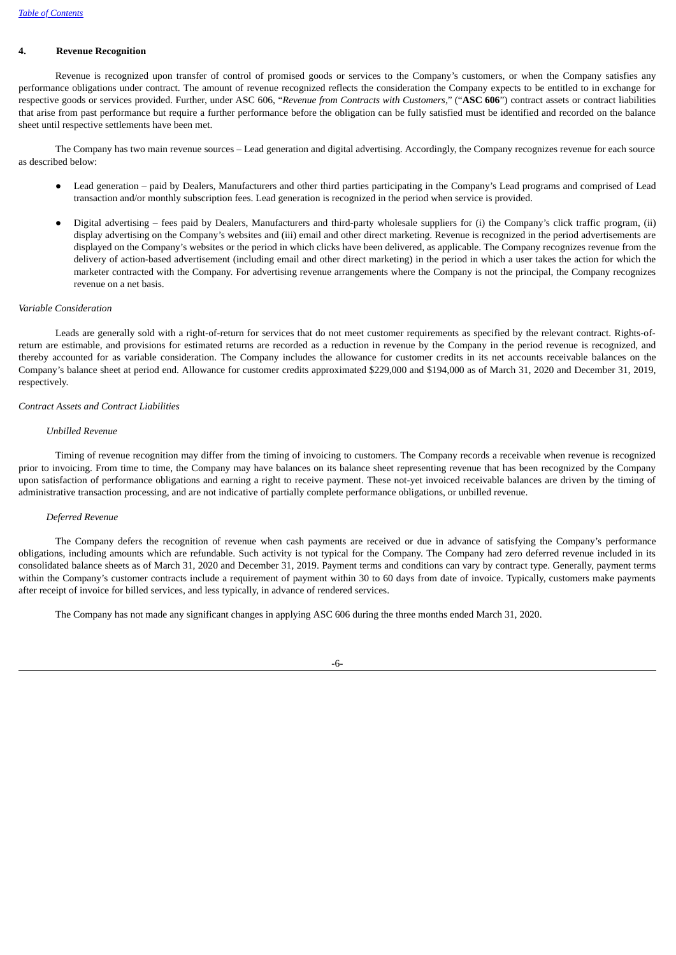# **4. Revenue Recognition**

Revenue is recognized upon transfer of control of promised goods or services to the Company's customers, or when the Company satisfies any performance obligations under contract. The amount of revenue recognized reflects the consideration the Company expects to be entitled to in exchange for respective goods or services provided. Further, under ASC 606, "*Revenue from Contracts with Customers,*" ("**ASC 606**") contract assets or contract liabilities that arise from past performance but require a further performance before the obligation can be fully satisfied must be identified and recorded on the balance sheet until respective settlements have been met.

The Company has two main revenue sources – Lead generation and digital advertising. Accordingly, the Company recognizes revenue for each source as described below:

- Lead generation paid by Dealers, Manufacturers and other third parties participating in the Company's Lead programs and comprised of Lead transaction and/or monthly subscription fees. Lead generation is recognized in the period when service is provided.
- Digital advertising fees paid by Dealers, Manufacturers and third-party wholesale suppliers for (i) the Company's click traffic program, (ii) display advertising on the Company's websites and (iii) email and other direct marketing. Revenue is recognized in the period advertisements are displayed on the Company's websites or the period in which clicks have been delivered, as applicable. The Company recognizes revenue from the delivery of action-based advertisement (including email and other direct marketing) in the period in which a user takes the action for which the marketer contracted with the Company. For advertising revenue arrangements where the Company is not the principal, the Company recognizes revenue on a net basis.

### *Variable Consideration*

Leads are generally sold with a right-of-return for services that do not meet customer requirements as specified by the relevant contract. Rights-ofreturn are estimable, and provisions for estimated returns are recorded as a reduction in revenue by the Company in the period revenue is recognized, and thereby accounted for as variable consideration. The Company includes the allowance for customer credits in its net accounts receivable balances on the Company's balance sheet at period end. Allowance for customer credits approximated \$229,000 and \$194,000 as of March 31, 2020 and December 31, 2019, respectively.

### *Contract Assets and Contract Liabilities*

### *Unbilled Revenue*

Timing of revenue recognition may differ from the timing of invoicing to customers. The Company records a receivable when revenue is recognized prior to invoicing. From time to time, the Company may have balances on its balance sheet representing revenue that has been recognized by the Company upon satisfaction of performance obligations and earning a right to receive payment. These not-yet invoiced receivable balances are driven by the timing of administrative transaction processing, and are not indicative of partially complete performance obligations, or unbilled revenue.

#### *Deferred Revenue*

The Company defers the recognition of revenue when cash payments are received or due in advance of satisfying the Company's performance obligations, including amounts which are refundable. Such activity is not typical for the Company. The Company had zero deferred revenue included in its consolidated balance sheets as of March 31, 2020 and December 31, 2019. Payment terms and conditions can vary by contract type. Generally, payment terms within the Company's customer contracts include a requirement of payment within 30 to 60 days from date of invoice. Typically, customers make payments after receipt of invoice for billed services, and less typically, in advance of rendered services.

The Company has not made any significant changes in applying ASC 606 during the three months ended March 31, 2020.

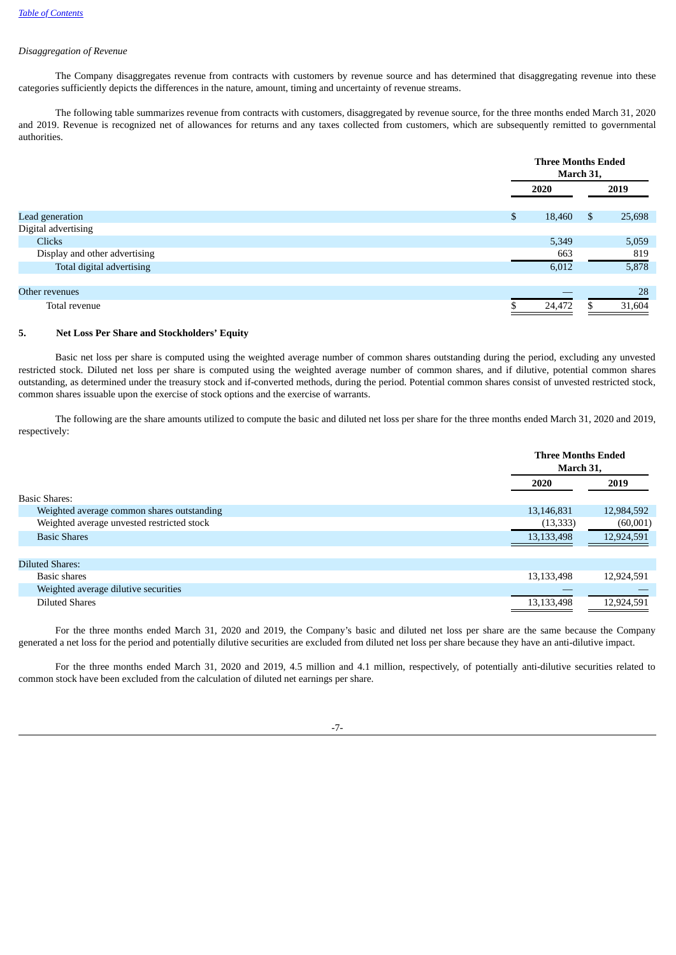## *Disaggregation of Revenue*

The Company disaggregates revenue from contracts with customers by revenue source and has determined that disaggregating revenue into these categories sufficiently depicts the differences in the nature, amount, timing and uncertainty of revenue streams.

The following table summarizes revenue from contracts with customers, disaggregated by revenue source, for the three months ended March 31, 2020 and 2019. Revenue is recognized net of allowances for returns and any taxes collected from customers, which are subsequently remitted to governmental authorities.

|                               | <b>Three Months Ended</b><br>March 31, |              |        |
|-------------------------------|----------------------------------------|--------------|--------|
|                               | 2020                                   |              | 2019   |
| Lead generation               | \$<br>18,460                           | $\mathbb{S}$ | 25,698 |
| Digital advertising           |                                        |              |        |
| Clicks                        | 5,349                                  |              | 5,059  |
| Display and other advertising | 663                                    |              | 819    |
| Total digital advertising     | 6,012                                  |              | 5,878  |
| Other revenues                |                                        |              | 28     |
| Total revenue                 | 24,472                                 |              | 31,604 |

### **5. Net Loss Per Share and Stockholders' Equity**

Basic net loss per share is computed using the weighted average number of common shares outstanding during the period, excluding any unvested restricted stock. Diluted net loss per share is computed using the weighted average number of common shares, and if dilutive, potential common shares outstanding, as determined under the treasury stock and if-converted methods, during the period. Potential common shares consist of unvested restricted stock, common shares issuable upon the exercise of stock options and the exercise of warrants.

The following are the share amounts utilized to compute the basic and diluted net loss per share for the three months ended March 31, 2020 and 2019, respectively:

|                                            | <b>Three Months Ended</b><br>March 31, |            |
|--------------------------------------------|----------------------------------------|------------|
|                                            | 2020                                   | 2019       |
| <b>Basic Shares:</b>                       |                                        |            |
| Weighted average common shares outstanding | 13,146,831                             | 12,984,592 |
| Weighted average unvested restricted stock | (13, 333)                              | (60, 001)  |
| <b>Basic Shares</b>                        | 13,133,498                             | 12,924,591 |
|                                            |                                        |            |
| Diluted Shares:                            |                                        |            |
| <b>Basic shares</b>                        | 13,133,498                             | 12,924,591 |
| Weighted average dilutive securities       |                                        |            |
| Diluted Shares                             | 13,133,498                             | 12,924,591 |

For the three months ended March 31, 2020 and 2019, the Company's basic and diluted net loss per share are the same because the Company generated a net loss for the period and potentially dilutive securities are excluded from diluted net loss per share because they have an anti-dilutive impact.

For the three months ended March 31, 2020 and 2019, 4.5 million and 4.1 million, respectively, of potentially anti-dilutive securities related to common stock have been excluded from the calculation of diluted net earnings per share.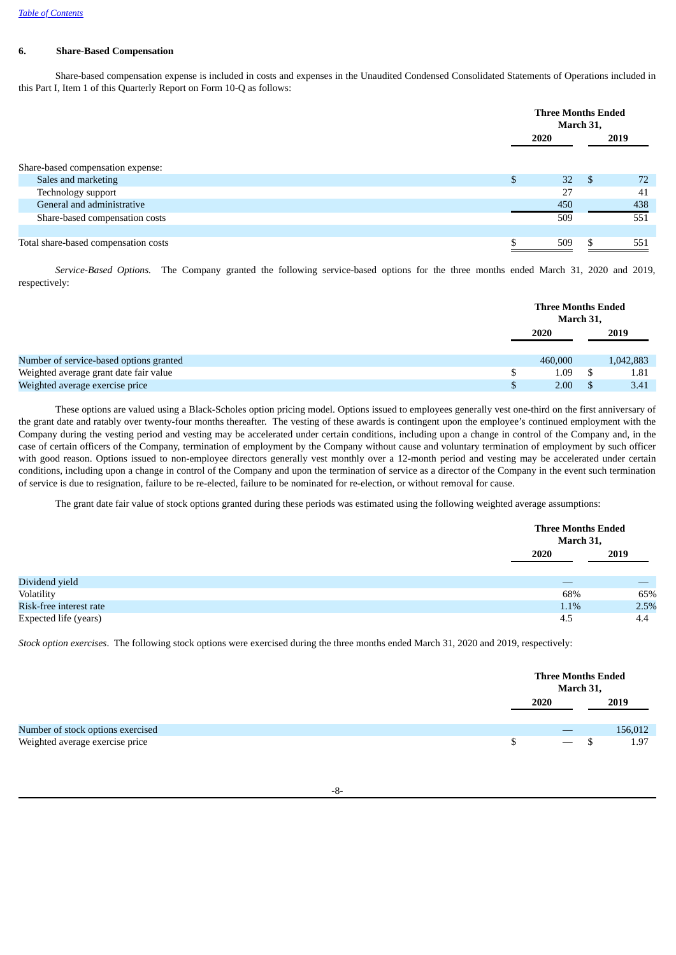# **6. Share-Based Compensation**

Share-based compensation expense is included in costs and expenses in the Unaudited Condensed Consolidated Statements of Operations included in this Part I, Item 1 of this Quarterly Report on Form 10-Q as follows:

|                                      |    | <b>Three Months Ended</b><br>March 31, |               |      |
|--------------------------------------|----|----------------------------------------|---------------|------|
|                                      |    | 2020                                   |               | 2019 |
| Share-based compensation expense:    |    |                                        |               |      |
| Sales and marketing                  | \$ | 32                                     | <sup>\$</sup> | 72   |
| Technology support                   |    | 27                                     |               | 41   |
| General and administrative           |    | 450                                    |               | 438  |
| Share-based compensation costs       |    | 509                                    |               | 551  |
|                                      |    |                                        |               |      |
| Total share-based compensation costs | đ  | 509                                    | \$            | 551  |

*Service-Based Options.* The Company granted the following service-based options for the three months ended March 31, 2020 and 2019, respectively:

|                                         |    | <b>Three Months Ended</b><br>March 31, |           |
|-----------------------------------------|----|----------------------------------------|-----------|
|                                         |    | 2020                                   | 2019      |
| Number of service-based options granted |    | 460,000                                | 1,042,883 |
| Weighted average grant date fair value  | \$ | 1.09                                   | 1.81      |
| Weighted average exercise price         | S  | 2.00                                   | 3.41      |

These options are valued using a Black-Scholes option pricing model. Options issued to employees generally vest one-third on the first anniversary of the grant date and ratably over twenty-four months thereafter. The vesting of these awards is contingent upon the employee's continued employment with the Company during the vesting period and vesting may be accelerated under certain conditions, including upon a change in control of the Company and, in the case of certain officers of the Company, termination of employment by the Company without cause and voluntary termination of employment by such officer with good reason. Options issued to non-employee directors generally vest monthly over a 12-month period and vesting may be accelerated under certain conditions, including upon a change in control of the Company and upon the termination of service as a director of the Company in the event such termination of service is due to resignation, failure to be re-elected, failure to be nominated for re-election, or without removal for cause.

The grant date fair value of stock options granted during these periods was estimated using the following weighted average assumptions:

|                         |      | <b>Three Months Ended</b><br>March 31, |
|-------------------------|------|----------------------------------------|
|                         | 2020 | 2019                                   |
| Dividend yield          |      |                                        |
| Volatility              | 68%  | 65%                                    |
| Risk-free interest rate | 1.1% | 2.5%                                   |
| Expected life (years)   | 4.5  | 4.4                                    |

*Stock option exercises*. The following stock options were exercised during the three months ended March 31, 2020 and 2019, respectively:

|                                   |    | <b>Three Months Ended</b><br>March 31, |     |         |
|-----------------------------------|----|----------------------------------------|-----|---------|
|                                   |    | 2020                                   |     | 2019    |
| Number of stock options exercised |    |                                        |     | 156,012 |
| Weighted average exercise price   | S. |                                        | -\$ | 1.97    |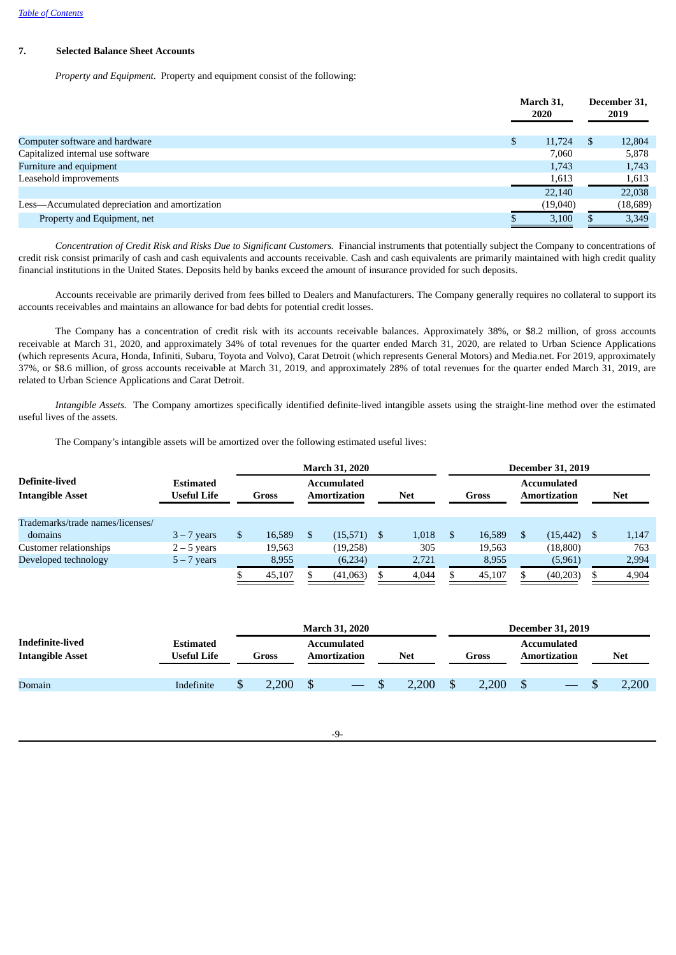# **7. Selected Balance Sheet Accounts**

*Property and Equipment*. Property and equipment consist of the following:

|                                                |   | March 31,<br>2020 |               | December 31,<br>2019 |
|------------------------------------------------|---|-------------------|---------------|----------------------|
| Computer software and hardware                 | S | 11,724            | <sup>\$</sup> | 12,804               |
| Capitalized internal use software              |   | 7.060             |               | 5,878                |
| Furniture and equipment                        |   | 1,743             |               | 1,743                |
| Leasehold improvements                         |   | 1,613             |               | 1,613                |
|                                                |   | 22,140            |               | 22,038               |
| Less-Accumulated depreciation and amortization |   | (19,040)          |               | (18, 689)            |
| Property and Equipment, net                    |   | 3,100             |               | 3,349                |

*Concentration of Credit Risk and Risks Due to Significant Customers.* Financial instruments that potentially subject the Company to concentrations of credit risk consist primarily of cash and cash equivalents and accounts receivable. Cash and cash equivalents are primarily maintained with high credit quality financial institutions in the United States. Deposits held by banks exceed the amount of insurance provided for such deposits.

Accounts receivable are primarily derived from fees billed to Dealers and Manufacturers. The Company generally requires no collateral to support its accounts receivables and maintains an allowance for bad debts for potential credit losses.

The Company has a concentration of credit risk with its accounts receivable balances. Approximately 38%, or \$8.2 million, of gross accounts receivable at March 31, 2020, and approximately 34% of total revenues for the quarter ended March 31, 2020, are related to Urban Science Applications (which represents Acura, Honda, Infiniti, Subaru, Toyota and Volvo), Carat Detroit (which represents General Motors) and Media.net. For 2019, approximately 37%, or \$8.6 million, of gross accounts receivable at March 31, 2019, and approximately 28% of total revenues for the quarter ended March 31, 2019, are related to Urban Science Applications and Carat Detroit.

*Intangible Assets.* The Company amortizes specifically identified definite-lived intangible assets using the straight-line method over the estimated useful lives of the assets.

The Company's intangible assets will be amortized over the following estimated useful lives:

|                                           | <b>March 31, 2020</b>    |              |   |                             |  |            | <b>December 31, 2019</b> |        |  |                             |      |            |
|-------------------------------------------|--------------------------|--------------|---|-----------------------------|--|------------|--------------------------|--------|--|-----------------------------|------|------------|
| Definite-lived<br><b>Intangible Asset</b> | Estimated<br>Useful Life | Gross        |   | Accumulated<br>Amortization |  | <b>Net</b> |                          | Gross  |  | Accumulated<br>Amortization |      | <b>Net</b> |
| Trademarks/trade names/licenses/          |                          |              |   |                             |  |            |                          |        |  |                             |      |            |
| domains                                   | $3 - 7$ years            | \$<br>16,589 | S | $(15,571)$ \$               |  | 1,018      |                          | 16,589 |  | (15, 442)                   | - \$ | 1,147      |
| Customer relationships                    | $2 - 5$ years            | 19,563       |   | (19,258)                    |  | 305        |                          | 19,563 |  | (18, 800)                   |      | 763        |
| Developed technology                      | $5 - 7$ years            | 8,955        |   | (6,234)                     |  | 2,721      |                          | 8,955  |  | (5,961)                     |      | 2,994      |
|                                           |                          | 45.107       |   | (41,063)                    |  | 4,044      |                          | 45,107 |  | (40, 203)                   |      | 4,904      |

|                                             |                          |    | <b>March 31, 2020</b> |  |                             |  |       |               | <b>December 31, 2019</b> |  |                             |  |       |
|---------------------------------------------|--------------------------|----|-----------------------|--|-----------------------------|--|-------|---------------|--------------------------|--|-----------------------------|--|-------|
| Indefinite-lived<br><b>Intangible Asset</b> | Estimated<br>Useful Life |    | <b>Gross</b>          |  | Accumulated<br>Amortization |  | Net   |               | <b>Gross</b>             |  | Accumulated<br>Amortization |  | Net   |
| Domain                                      | Indefinite               | \$ | 2,200                 |  |                             |  | 2,200 | <sup>\$</sup> | 2.200                    |  |                             |  | 2,200 |

-9-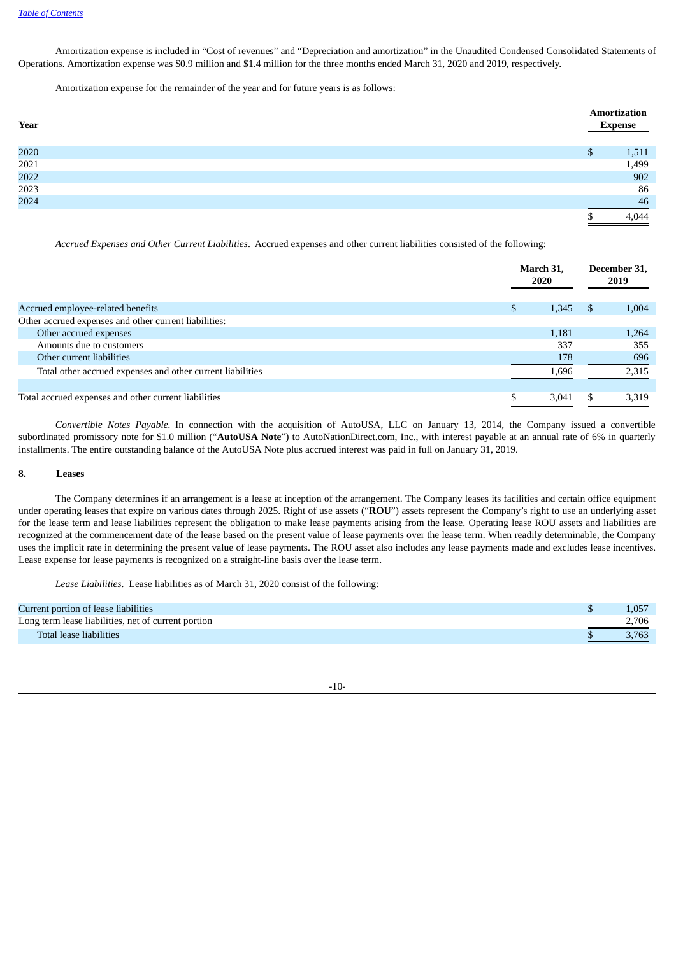Amortization expense is included in "Cost of revenues" and "Depreciation and amortization" in the Unaudited Condensed Consolidated Statements of Operations. Amortization expense was \$0.9 million and \$1.4 million for the three months ended March 31, 2020 and 2019, respectively.

Amortization expense for the remainder of the year and for future years is as follows:

| Year |   | <b>Amortization</b><br>Expense |
|------|---|--------------------------------|
| 2020 | ъ | 1,511                          |
| 2021 |   | 1,499                          |
| 2022 |   | 902                            |
| 2023 |   | 86                             |
| 2024 |   | 46                             |
|      |   | 4,044                          |

*Accrued Expenses and Other Current Liabilities*. Accrued expenses and other current liabilities consisted of the following:

|                                                            | March 31,<br>2020 |       | December 31,<br>2019 |
|------------------------------------------------------------|-------------------|-------|----------------------|
| Accrued employee-related benefits                          | \$                | 1,345 | 1,004                |
| Other accrued expenses and other current liabilities:      |                   |       |                      |
| Other accrued expenses                                     |                   | 1,181 | 1,264                |
| Amounts due to customers                                   |                   | 337   | 355                  |
| Other current liabilities                                  |                   | 178   | 696                  |
| Total other accrued expenses and other current liabilities |                   | 1,696 | 2,315                |
|                                                            |                   |       |                      |
| Total accrued expenses and other current liabilities       | ¢                 | 3.041 | \$<br>3,319          |

*Convertible Notes Payable.* In connection with the acquisition of AutoUSA, LLC on January 13, 2014, the Company issued a convertible subordinated promissory note for \$1.0 million ("**AutoUSA Note**") to AutoNationDirect.com, Inc., with interest payable at an annual rate of 6% in quarterly installments. The entire outstanding balance of the AutoUSA Note plus accrued interest was paid in full on January 31, 2019.

#### **8. Leases**

The Company determines if an arrangement is a lease at inception of the arrangement. The Company leases its facilities and certain office equipment under operating leases that expire on various dates through 2025. Right of use assets ("**ROU**") assets represent the Company's right to use an underlying asset for the lease term and lease liabilities represent the obligation to make lease payments arising from the lease. Operating lease ROU assets and liabilities are recognized at the commencement date of the lease based on the present value of lease payments over the lease term. When readily determinable, the Company uses the implicit rate in determining the present value of lease payments. The ROU asset also includes any lease payments made and excludes lease incentives. Lease expense for lease payments is recognized on a straight-line basis over the lease term.

*Lease Liabilities*. Lease liabilities as of March 31, 2020 consist of the following:

| Current portion of lease liabilities                | 1,057 |
|-----------------------------------------------------|-------|
| Long term lease liabilities, net of current portion | 2.706 |
| Total lease liabilities                             | 3,763 |

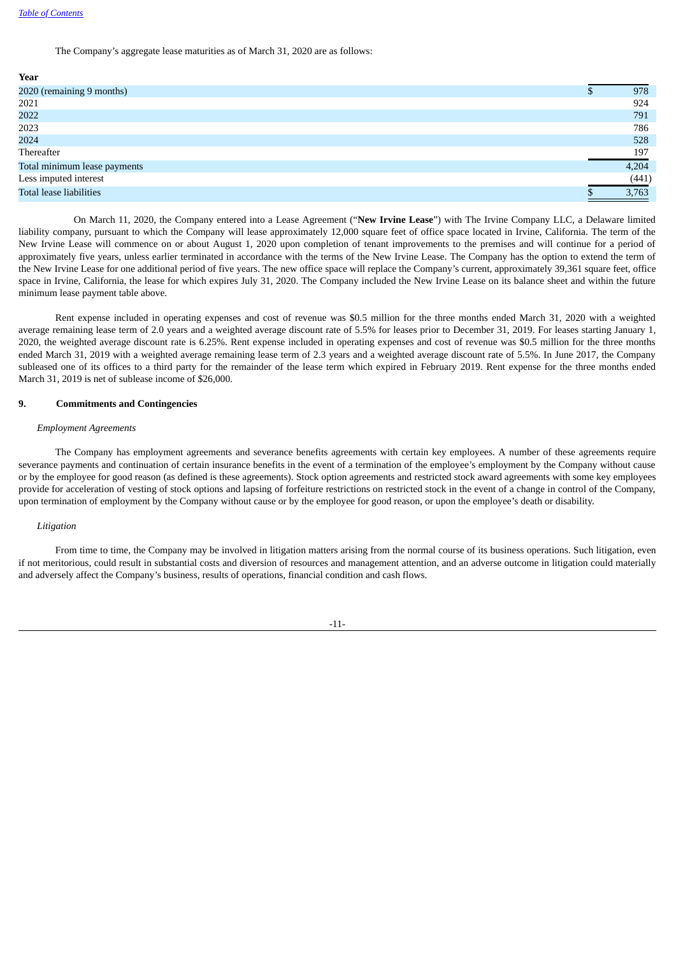The Company's aggregate lease maturities as of March 31, 2020 are as follows:

| 978   |
|-------|
| 924   |
| 791   |
| 786   |
| 528   |
| 197   |
| 4,204 |
| (441) |
| 3,763 |
|       |

On March 11, 2020, the Company entered into a Lease Agreement ("**New Irvine Lease**") with The Irvine Company LLC, a Delaware limited liability company, pursuant to which the Company will lease approximately 12,000 square feet of office space located in Irvine, California. The term of the New Irvine Lease will commence on or about August 1, 2020 upon completion of tenant improvements to the premises and will continue for a period of approximately five years, unless earlier terminated in accordance with the terms of the New Irvine Lease. The Company has the option to extend the term of the New Irvine Lease for one additional period of five years. The new office space will replace the Company's current, approximately 39,361 square feet, office space in Irvine, California, the lease for which expires July 31, 2020. The Company included the New Irvine Lease on its balance sheet and within the future minimum lease payment table above.

Rent expense included in operating expenses and cost of revenue was \$0.5 million for the three months ended March 31, 2020 with a weighted average remaining lease term of 2.0 years and a weighted average discount rate of 5.5% for leases prior to December 31, 2019. For leases starting January 1, 2020, the weighted average discount rate is 6.25%. Rent expense included in operating expenses and cost of revenue was \$0.5 million for the three months ended March 31, 2019 with a weighted average remaining lease term of 2.3 years and a weighted average discount rate of 5.5%. In June 2017, the Company subleased one of its offices to a third party for the remainder of the lease term which expired in February 2019. Rent expense for the three months ended March 31, 2019 is net of sublease income of \$26,000.

# **9. Commitments and Contingencies**

## *Employment Agreements*

The Company has employment agreements and severance benefits agreements with certain key employees. A number of these agreements require severance payments and continuation of certain insurance benefits in the event of a termination of the employee's employment by the Company without cause or by the employee for good reason (as defined is these agreements). Stock option agreements and restricted stock award agreements with some key employees provide for acceleration of vesting of stock options and lapsing of forfeiture restrictions on restricted stock in the event of a change in control of the Company, upon termination of employment by the Company without cause or by the employee for good reason, or upon the employee's death or disability.

### *Litigation*

From time to time, the Company may be involved in litigation matters arising from the normal course of its business operations. Such litigation, even if not meritorious, could result in substantial costs and diversion of resources and management attention, and an adverse outcome in litigation could materially and adversely affect the Company's business, results of operations, financial condition and cash flows.

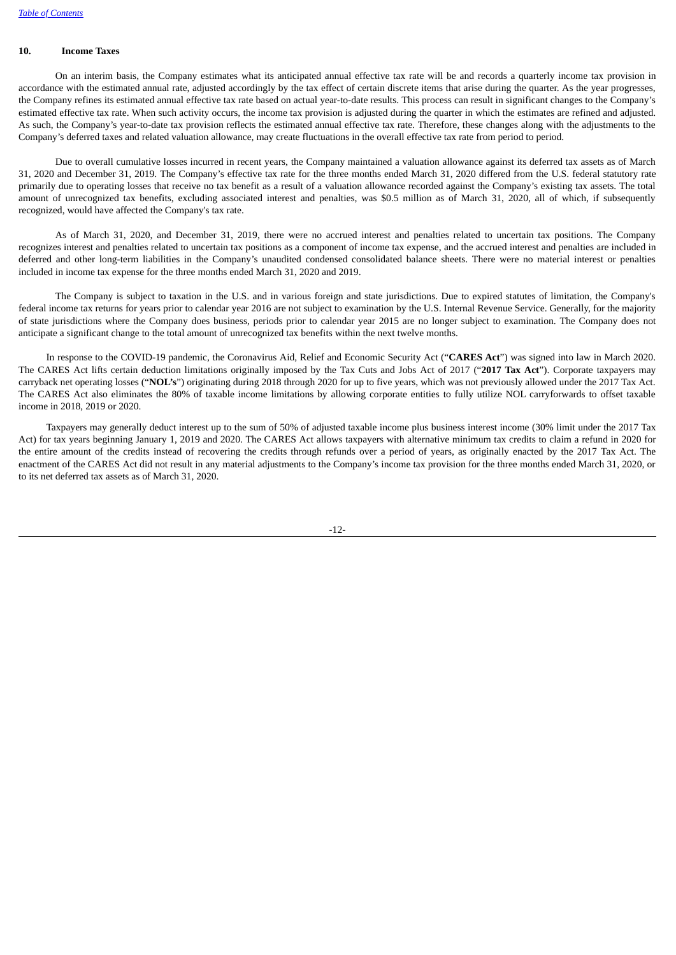# **10. Income Taxes**

On an interim basis, the Company estimates what its anticipated annual effective tax rate will be and records a quarterly income tax provision in accordance with the estimated annual rate, adjusted accordingly by the tax effect of certain discrete items that arise during the quarter. As the year progresses, the Company refines its estimated annual effective tax rate based on actual year-to-date results. This process can result in significant changes to the Company's estimated effective tax rate. When such activity occurs, the income tax provision is adjusted during the quarter in which the estimates are refined and adjusted. As such, the Company's year-to-date tax provision reflects the estimated annual effective tax rate. Therefore, these changes along with the adjustments to the Company's deferred taxes and related valuation allowance, may create fluctuations in the overall effective tax rate from period to period.

Due to overall cumulative losses incurred in recent years, the Company maintained a valuation allowance against its deferred tax assets as of March 31, 2020 and December 31, 2019. The Company's effective tax rate for the three months ended March 31, 2020 differed from the U.S. federal statutory rate primarily due to operating losses that receive no tax benefit as a result of a valuation allowance recorded against the Company's existing tax assets. The total amount of unrecognized tax benefits, excluding associated interest and penalties, was \$0.5 million as of March 31, 2020, all of which, if subsequently recognized, would have affected the Company's tax rate.

As of March 31, 2020, and December 31, 2019, there were no accrued interest and penalties related to uncertain tax positions. The Company recognizes interest and penalties related to uncertain tax positions as a component of income tax expense, and the accrued interest and penalties are included in deferred and other long-term liabilities in the Company's unaudited condensed consolidated balance sheets. There were no material interest or penalties included in income tax expense for the three months ended March 31, 2020 and 2019.

The Company is subject to taxation in the U.S. and in various foreign and state jurisdictions. Due to expired statutes of limitation, the Company's federal income tax returns for years prior to calendar year 2016 are not subject to examination by the U.S. Internal Revenue Service. Generally, for the majority of state jurisdictions where the Company does business, periods prior to calendar year 2015 are no longer subject to examination. The Company does not anticipate a significant change to the total amount of unrecognized tax benefits within the next twelve months.

In response to the COVID-19 pandemic, the Coronavirus Aid, Relief and Economic Security Act ("**CARES Act**") was signed into law in March 2020. The CARES Act lifts certain deduction limitations originally imposed by the Tax Cuts and Jobs Act of 2017 ("**2017 Tax Act**"). Corporate taxpayers may carryback net operating losses ("**NOL's**") originating during 2018 through 2020 for up to five years, which was not previously allowed under the 2017 Tax Act. The CARES Act also eliminates the 80% of taxable income limitations by allowing corporate entities to fully utilize NOL carryforwards to offset taxable income in 2018, 2019 or 2020.

Taxpayers may generally deduct interest up to the sum of 50% of adjusted taxable income plus business interest income (30% limit under the 2017 Tax Act) for tax years beginning January 1, 2019 and 2020. The CARES Act allows taxpayers with alternative minimum tax credits to claim a refund in 2020 for the entire amount of the credits instead of recovering the credits through refunds over a period of years, as originally enacted by the 2017 Tax Act. The enactment of the CARES Act did not result in any material adjustments to the Company's income tax provision for the three months ended March 31, 2020, or to its net deferred tax assets as of March 31, 2020.

-12-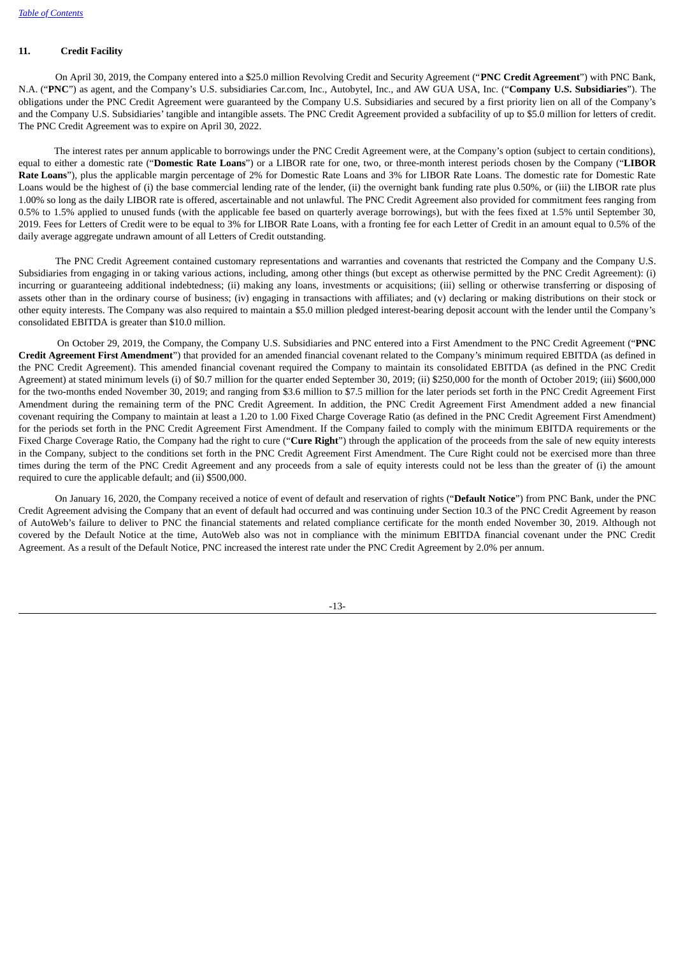# **11. Credit Facility**

On April 30, 2019, the Company entered into a \$25.0 million Revolving Credit and Security Agreement ("**PNC Credit Agreement**") with PNC Bank, N.A. ("**PNC**") as agent, and the Company's U.S. subsidiaries Car.com, Inc., Autobytel, Inc., and AW GUA USA, Inc. ("**Company U.S. Subsidiaries**"). The obligations under the PNC Credit Agreement were guaranteed by the Company U.S. Subsidiaries and secured by a first priority lien on all of the Company's and the Company U.S. Subsidiaries' tangible and intangible assets. The PNC Credit Agreement provided a subfacility of up to \$5.0 million for letters of credit. The PNC Credit Agreement was to expire on April 30, 2022.

The interest rates per annum applicable to borrowings under the PNC Credit Agreement were, at the Company's option (subject to certain conditions), equal to either a domestic rate ("**Domestic Rate Loans**") or a LIBOR rate for one, two, or three-month interest periods chosen by the Company ("**LIBOR Rate Loans**"), plus the applicable margin percentage of 2% for Domestic Rate Loans and 3% for LIBOR Rate Loans. The domestic rate for Domestic Rate Loans would be the highest of (i) the base commercial lending rate of the lender, (ii) the overnight bank funding rate plus 0.50%, or (iii) the LIBOR rate plus 1.00% so long as the daily LIBOR rate is offered, ascertainable and not unlawful. The PNC Credit Agreement also provided for commitment fees ranging from 0.5% to 1.5% applied to unused funds (with the applicable fee based on quarterly average borrowings), but with the fees fixed at 1.5% until September 30, 2019. Fees for Letters of Credit were to be equal to 3% for LIBOR Rate Loans, with a fronting fee for each Letter of Credit in an amount equal to 0.5% of the daily average aggregate undrawn amount of all Letters of Credit outstanding.

The PNC Credit Agreement contained customary representations and warranties and covenants that restricted the Company and the Company U.S. Subsidiaries from engaging in or taking various actions, including, among other things (but except as otherwise permitted by the PNC Credit Agreement): (i) incurring or guaranteeing additional indebtedness; (ii) making any loans, investments or acquisitions; (iii) selling or otherwise transferring or disposing of assets other than in the ordinary course of business; (iv) engaging in transactions with affiliates; and (v) declaring or making distributions on their stock or other equity interests. The Company was also required to maintain a \$5.0 million pledged interest-bearing deposit account with the lender until the Company's consolidated EBITDA is greater than \$10.0 million.

On October 29, 2019, the Company, the Company U.S. Subsidiaries and PNC entered into a First Amendment to the PNC Credit Agreement ("**PNC Credit Agreement First Amendment**") that provided for an amended financial covenant related to the Company's minimum required EBITDA (as defined in the PNC Credit Agreement). This amended financial covenant required the Company to maintain its consolidated EBITDA (as defined in the PNC Credit Agreement) at stated minimum levels (i) of \$0.7 million for the quarter ended September 30, 2019; (ii) \$250,000 for the month of October 2019; (iii) \$600,000 for the two-months ended November 30, 2019; and ranging from \$3.6 million to \$7.5 million for the later periods set forth in the PNC Credit Agreement First Amendment during the remaining term of the PNC Credit Agreement. In addition, the PNC Credit Agreement First Amendment added a new financial covenant requiring the Company to maintain at least a 1.20 to 1.00 Fixed Charge Coverage Ratio (as defined in the PNC Credit Agreement First Amendment) for the periods set forth in the PNC Credit Agreement First Amendment. If the Company failed to comply with the minimum EBITDA requirements or the Fixed Charge Coverage Ratio, the Company had the right to cure ("**Cure Right**") through the application of the proceeds from the sale of new equity interests in the Company, subject to the conditions set forth in the PNC Credit Agreement First Amendment. The Cure Right could not be exercised more than three times during the term of the PNC Credit Agreement and any proceeds from a sale of equity interests could not be less than the greater of (i) the amount required to cure the applicable default; and (ii) \$500,000.

On January 16, 2020, the Company received a notice of event of default and reservation of rights ("**Default Notice**") from PNC Bank, under the PNC Credit Agreement advising the Company that an event of default had occurred and was continuing under Section 10.3 of the PNC Credit Agreement by reason of AutoWeb's failure to deliver to PNC the financial statements and related compliance certificate for the month ended November 30, 2019. Although not covered by the Default Notice at the time, AutoWeb also was not in compliance with the minimum EBITDA financial covenant under the PNC Credit Agreement. As a result of the Default Notice, PNC increased the interest rate under the PNC Credit Agreement by 2.0% per annum.

-13-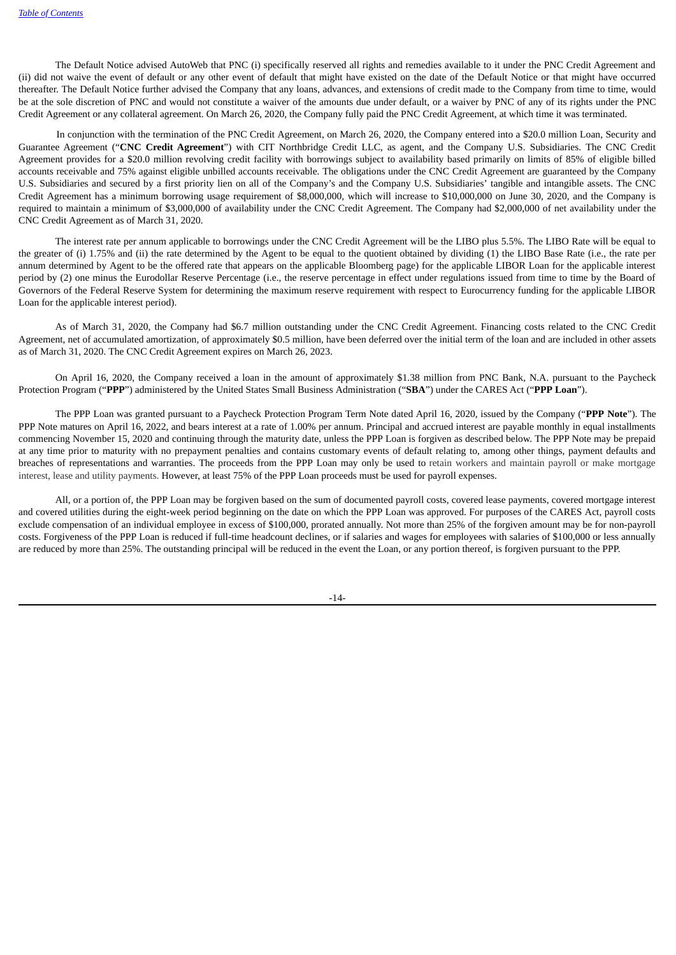The Default Notice advised AutoWeb that PNC (i) specifically reserved all rights and remedies available to it under the PNC Credit Agreement and (ii) did not waive the event of default or any other event of default that might have existed on the date of the Default Notice or that might have occurred thereafter. The Default Notice further advised the Company that any loans, advances, and extensions of credit made to the Company from time to time, would be at the sole discretion of PNC and would not constitute a waiver of the amounts due under default, or a waiver by PNC of any of its rights under the PNC Credit Agreement or any collateral agreement. On March 26, 2020, the Company fully paid the PNC Credit Agreement, at which time it was terminated.

In conjunction with the termination of the PNC Credit Agreement, on March 26, 2020, the Company entered into a \$20.0 million Loan, Security and Guarantee Agreement ("**CNC Credit Agreement**") with CIT Northbridge Credit LLC, as agent, and the Company U.S. Subsidiaries. The CNC Credit Agreement provides for a \$20.0 million revolving credit facility with borrowings subject to availability based primarily on limits of 85% of eligible billed accounts receivable and 75% against eligible unbilled accounts receivable. The obligations under the CNC Credit Agreement are guaranteed by the Company U.S. Subsidiaries and secured by a first priority lien on all of the Company's and the Company U.S. Subsidiaries' tangible and intangible assets. The CNC Credit Agreement has a minimum borrowing usage requirement of \$8,000,000, which will increase to \$10,000,000 on June 30, 2020, and the Company is required to maintain a minimum of \$3,000,000 of availability under the CNC Credit Agreement. The Company had \$2,000,000 of net availability under the CNC Credit Agreement as of March 31, 2020.

The interest rate per annum applicable to borrowings under the CNC Credit Agreement will be the LIBO plus 5.5%. The LIBO Rate will be equal to the greater of (i) 1.75% and (ii) the rate determined by the Agent to be equal to the quotient obtained by dividing (1) the LIBO Base Rate (i.e., the rate per annum determined by Agent to be the offered rate that appears on the applicable Bloomberg page) for the applicable LIBOR Loan for the applicable interest period by (2) one minus the Eurodollar Reserve Percentage (i.e., the reserve percentage in effect under regulations issued from time to time by the Board of Governors of the Federal Reserve System for determining the maximum reserve requirement with respect to Eurocurrency funding for the applicable LIBOR Loan for the applicable interest period).

As of March 31, 2020, the Company had \$6.7 million outstanding under the CNC Credit Agreement. Financing costs related to the CNC Credit Agreement, net of accumulated amortization, of approximately \$0.5 million, have been deferred over the initial term of the loan and are included in other assets as of March 31, 2020. The CNC Credit Agreement expires on March 26, 2023.

On April 16, 2020, the Company received a loan in the amount of approximately \$1.38 million from PNC Bank, N.A. pursuant to the Paycheck Protection Program ("**PPP**") administered by the United States Small Business Administration ("**SBA**") under the CARES Act ("**PPP Loan**").

The PPP Loan was granted pursuant to a Paycheck Protection Program Term Note dated April 16, 2020, issued by the Company ("**PPP Note**"). The PPP Note matures on April 16, 2022, and bears interest at a rate of 1.00% per annum. Principal and accrued interest are payable monthly in equal installments commencing November 15, 2020 and continuing through the maturity date, unless the PPP Loan is forgiven as described below. The PPP Note may be prepaid at any time prior to maturity with no prepayment penalties and contains customary events of default relating to, among other things, payment defaults and breaches of representations and warranties. The proceeds from the PPP Loan may only be used to retain workers and maintain payroll or make mortgage interest, lease and utility payments. However, at least 75% of the PPP Loan proceeds must be used for payroll expenses.

All, or a portion of, the PPP Loan may be forgiven based on the sum of documented payroll costs, covered lease payments, covered mortgage interest and covered utilities during the eight-week period beginning on the date on which the PPP Loan was approved. For purposes of the CARES Act, payroll costs exclude compensation of an individual employee in excess of \$100,000, prorated annually. Not more than 25% of the forgiven amount may be for non-payroll costs. Forgiveness of the PPP Loan is reduced if full-time headcount declines, or if salaries and wages for employees with salaries of \$100,000 or less annually are reduced by more than 25%. The outstanding principal will be reduced in the event the Loan, or any portion thereof, is forgiven pursuant to the PPP.

-14-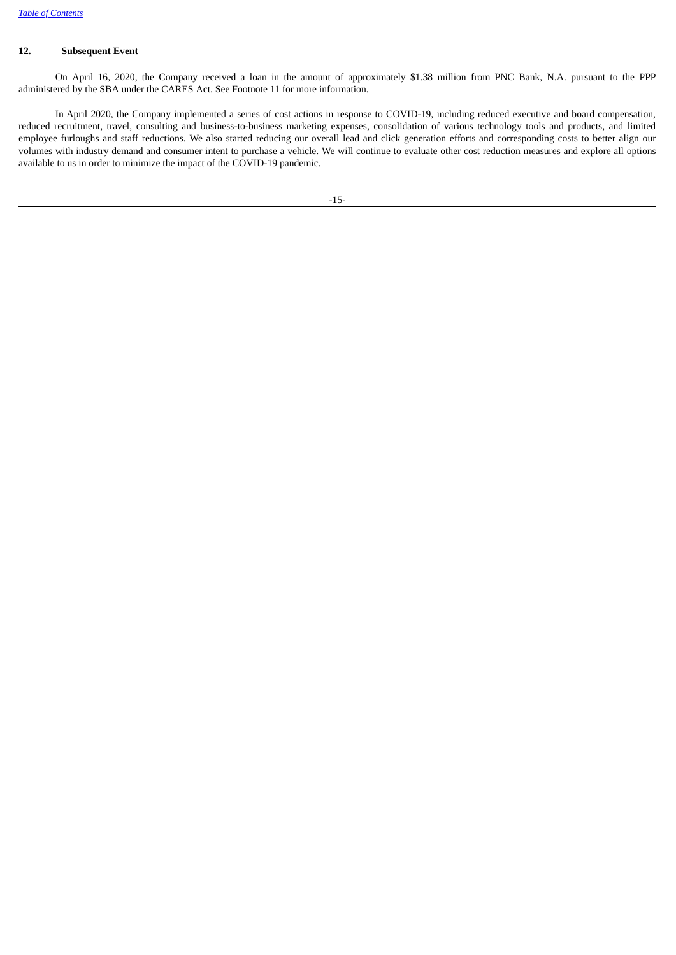# **12. Subsequent Event**

On April 16, 2020, the Company received a loan in the amount of approximately \$1.38 million from PNC Bank, N.A. pursuant to the PPP administered by the SBA under the CARES Act. See Footnote 11 for more information.

In April 2020, the Company implemented a series of cost actions in response to COVID-19, including reduced executive and board compensation, reduced recruitment, travel, consulting and business-to-business marketing expenses, consolidation of various technology tools and products, and limited employee furloughs and staff reductions. We also started reducing our overall lead and click generation efforts and corresponding costs to better align our volumes with industry demand and consumer intent to purchase a vehicle. We will continue to evaluate other cost reduction measures and explore all options available to us in order to minimize the impact of the COVID-19 pandemic.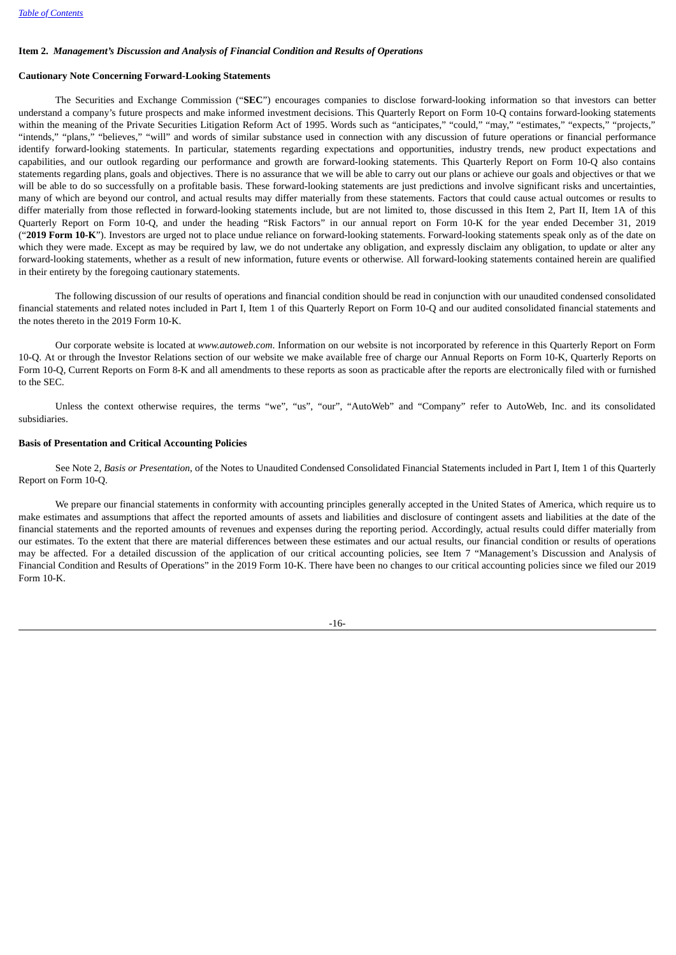## <span id="page-17-0"></span>**Item 2.** *Management's Discussion and Analysis of Financial Condition and Results of Operations*

## **Cautionary Note Concerning Forward-Looking Statements**

The Securities and Exchange Commission ("**SEC**") encourages companies to disclose forward-looking information so that investors can better understand a company's future prospects and make informed investment decisions. This Quarterly Report on Form 10-Q contains forward-looking statements within the meaning of the Private Securities Litigation Reform Act of 1995. Words such as "anticipates," "could," "may," "estimates," "expects," "projects," "intends," "plans," "believes," "will" and words of similar substance used in connection with any discussion of future operations or financial performance identify forward-looking statements. In particular, statements regarding expectations and opportunities, industry trends, new product expectations and capabilities, and our outlook regarding our performance and growth are forward-looking statements. This Quarterly Report on Form 10-Q also contains statements regarding plans, goals and objectives. There is no assurance that we will be able to carry out our plans or achieve our goals and objectives or that we will be able to do so successfully on a profitable basis. These forward-looking statements are just predictions and involve significant risks and uncertainties, many of which are beyond our control, and actual results may differ materially from these statements. Factors that could cause actual outcomes or results to differ materially from those reflected in forward-looking statements include, but are not limited to, those discussed in this Item 2, Part II, Item 1A of this Quarterly Report on Form 10-Q, and under the heading "Risk Factors" in our annual report on Form 10-K for the year ended December 31, 2019 ("**2019 Form 10-K**"). Investors are urged not to place undue reliance on forward-looking statements. Forward-looking statements speak only as of the date on which they were made. Except as may be required by law, we do not undertake any obligation, and expressly disclaim any obligation, to update or alter any forward-looking statements, whether as a result of new information, future events or otherwise. All forward-looking statements contained herein are qualified in their entirety by the foregoing cautionary statements.

The following discussion of our results of operations and financial condition should be read in conjunction with our unaudited condensed consolidated financial statements and related notes included in Part I, Item 1 of this Quarterly Report on Form 10-Q and our audited consolidated financial statements and the notes thereto in the 2019 Form 10-K.

Our corporate website is located at *www.autoweb.com*. Information on our website is not incorporated by reference in this Quarterly Report on Form 10-Q. At or through the Investor Relations section of our website we make available free of charge our Annual Reports on Form 10-K, Quarterly Reports on Form 10-Q, Current Reports on Form 8-K and all amendments to these reports as soon as practicable after the reports are electronically filed with or furnished to the SEC.

Unless the context otherwise requires, the terms "we", "us", "our", "AutoWeb" and "Company" refer to AutoWeb, Inc. and its consolidated subsidiaries.

### **Basis of Presentation and Critical Accounting Policies**

See Note 2, *Basis or Presentation*, of the Notes to Unaudited Condensed Consolidated Financial Statements included in Part I, Item 1 of this Quarterly Report on Form 10-Q.

We prepare our financial statements in conformity with accounting principles generally accepted in the United States of America, which require us to make estimates and assumptions that affect the reported amounts of assets and liabilities and disclosure of contingent assets and liabilities at the date of the financial statements and the reported amounts of revenues and expenses during the reporting period. Accordingly, actual results could differ materially from our estimates. To the extent that there are material differences between these estimates and our actual results, our financial condition or results of operations may be affected. For a detailed discussion of the application of our critical accounting policies, see Item 7 "Management's Discussion and Analysis of Financial Condition and Results of Operations" in the 2019 Form 10-K. There have been no changes to our critical accounting policies since we filed our 2019 Form 10-K.

-16-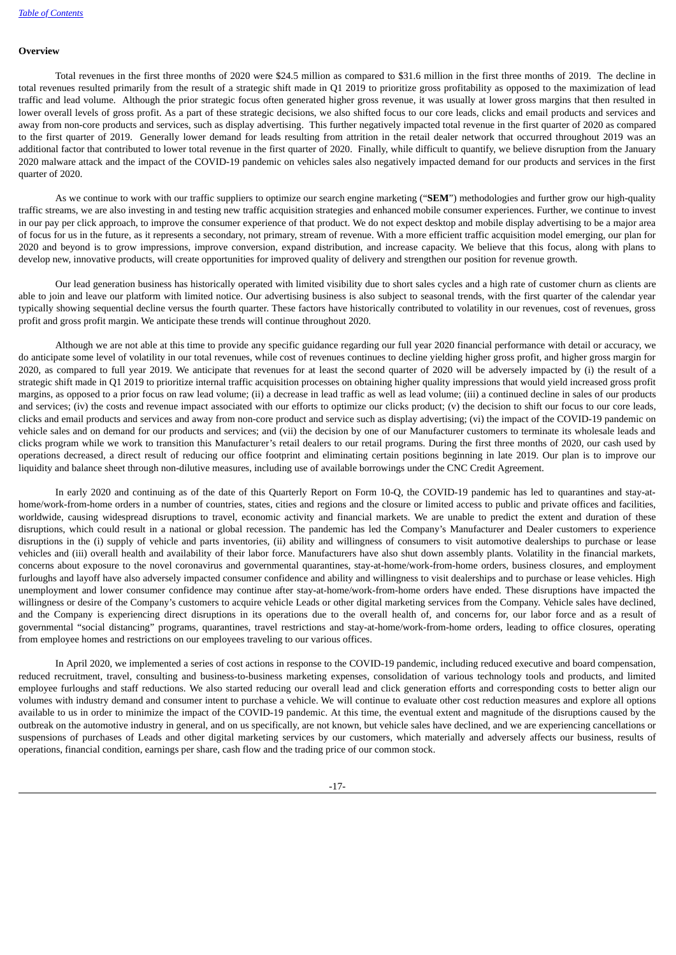#### **Overview**

Total revenues in the first three months of 2020 were \$24.5 million as compared to \$31.6 million in the first three months of 2019. The decline in total revenues resulted primarily from the result of a strategic shift made in Q1 2019 to prioritize gross profitability as opposed to the maximization of lead traffic and lead volume. Although the prior strategic focus often generated higher gross revenue, it was usually at lower gross margins that then resulted in lower overall levels of gross profit. As a part of these strategic decisions, we also shifted focus to our core leads, clicks and email products and services and away from non-core products and services, such as display advertising. This further negatively impacted total revenue in the first quarter of 2020 as compared to the first quarter of 2019. Generally lower demand for leads resulting from attrition in the retail dealer network that occurred throughout 2019 was an additional factor that contributed to lower total revenue in the first quarter of 2020. Finally, while difficult to quantify, we believe disruption from the January 2020 malware attack and the impact of the COVID-19 pandemic on vehicles sales also negatively impacted demand for our products and services in the first quarter of 2020.

As we continue to work with our traffic suppliers to optimize our search engine marketing ("**SEM**") methodologies and further grow our high-quality traffic streams, we are also investing in and testing new traffic acquisition strategies and enhanced mobile consumer experiences. Further, we continue to invest in our pay per click approach, to improve the consumer experience of that product. We do not expect desktop and mobile display advertising to be a major area of focus for us in the future, as it represents a secondary, not primary, stream of revenue. With a more efficient traffic acquisition model emerging, our plan for 2020 and beyond is to grow impressions, improve conversion, expand distribution, and increase capacity. We believe that this focus, along with plans to develop new, innovative products, will create opportunities for improved quality of delivery and strengthen our position for revenue growth.

Our lead generation business has historically operated with limited visibility due to short sales cycles and a high rate of customer churn as clients are able to join and leave our platform with limited notice. Our advertising business is also subject to seasonal trends, with the first quarter of the calendar year typically showing sequential decline versus the fourth quarter. These factors have historically contributed to volatility in our revenues, cost of revenues, gross profit and gross profit margin. We anticipate these trends will continue throughout 2020.

Although we are not able at this time to provide any specific guidance regarding our full year 2020 financial performance with detail or accuracy, we do anticipate some level of volatility in our total revenues, while cost of revenues continues to decline yielding higher gross profit, and higher gross margin for 2020, as compared to full year 2019. We anticipate that revenues for at least the second quarter of 2020 will be adversely impacted by (i) the result of a strategic shift made in Q1 2019 to prioritize internal traffic acquisition processes on obtaining higher quality impressions that would yield increased gross profit margins, as opposed to a prior focus on raw lead volume; (ii) a decrease in lead traffic as well as lead volume; (iii) a continued decline in sales of our products and services; (iv) the costs and revenue impact associated with our efforts to optimize our clicks product; (v) the decision to shift our focus to our core leads, clicks and email products and services and away from non-core product and service such as display advertising; (vi) the impact of the COVID-19 pandemic on vehicle sales and on demand for our products and services; and (vii) the decision by one of our Manufacturer customers to terminate its wholesale leads and clicks program while we work to transition this Manufacturer's retail dealers to our retail programs. During the first three months of 2020, our cash used by operations decreased, a direct result of reducing our office footprint and eliminating certain positions beginning in late 2019. Our plan is to improve our liquidity and balance sheet through non-dilutive measures, including use of available borrowings under the CNC Credit Agreement.

In early 2020 and continuing as of the date of this Quarterly Report on Form 10-Q, the COVID-19 pandemic has led to quarantines and stay-athome/work-from-home orders in a number of countries, states, cities and regions and the closure or limited access to public and private offices and facilities, worldwide, causing widespread disruptions to travel, economic activity and financial markets. We are unable to predict the extent and duration of these disruptions, which could result in a national or global recession. The pandemic has led the Company's Manufacturer and Dealer customers to experience disruptions in the (i) supply of vehicle and parts inventories, (ii) ability and willingness of consumers to visit automotive dealerships to purchase or lease vehicles and (iii) overall health and availability of their labor force. Manufacturers have also shut down assembly plants. Volatility in the financial markets, concerns about exposure to the novel coronavirus and governmental quarantines, stay-at-home/work-from-home orders, business closures, and employment furloughs and layoff have also adversely impacted consumer confidence and ability and willingness to visit dealerships and to purchase or lease vehicles. High unemployment and lower consumer confidence may continue after stay-at-home/work-from-home orders have ended. These disruptions have impacted the willingness or desire of the Company's customers to acquire vehicle Leads or other digital marketing services from the Company. Vehicle sales have declined, and the Company is experiencing direct disruptions in its operations due to the overall health of, and concerns for, our labor force and as a result of governmental "social distancing" programs, quarantines, travel restrictions and stay-at-home/work-from-home orders, leading to office closures, operating from employee homes and restrictions on our employees traveling to our various offices.

In April 2020, we implemented a series of cost actions in response to the COVID-19 pandemic, including reduced executive and board compensation, reduced recruitment, travel, consulting and business-to-business marketing expenses, consolidation of various technology tools and products, and limited employee furloughs and staff reductions. We also started reducing our overall lead and click generation efforts and corresponding costs to better align our volumes with industry demand and consumer intent to purchase a vehicle. We will continue to evaluate other cost reduction measures and explore all options available to us in order to minimize the impact of the COVID-19 pandemic. At this time, the eventual extent and magnitude of the disruptions caused by the outbreak on the automotive industry in general, and on us specifically, are not known, but vehicle sales have declined, and we are experiencing cancellations or suspensions of purchases of Leads and other digital marketing services by our customers, which materially and adversely affects our business, results of operations, financial condition, earnings per share, cash flow and the trading price of our common stock.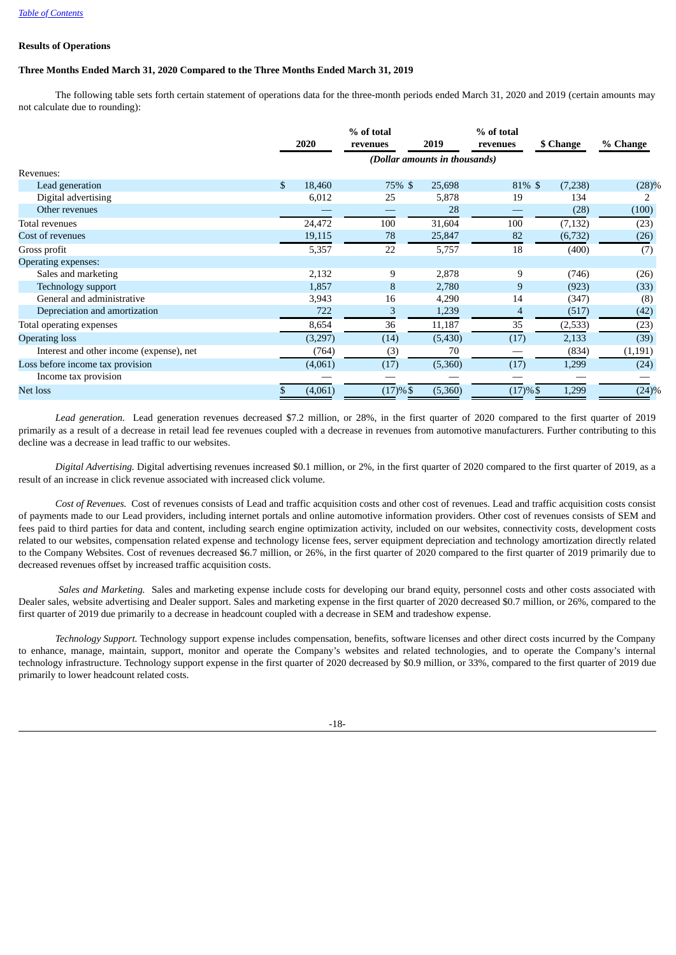# **Results of Operations**

# **Three Months Ended March 31, 2020 Compared to the Three Months Ended March 31, 2019**

The following table sets forth certain statement of operations data for the three-month periods ended March 31, 2020 and 2019 (certain amounts may not calculate due to rounding):

|                                          |                | 2020    | % of total<br>revenues        | 2019     | % of total<br>revenues | \$ Change | % Change |  |  |  |
|------------------------------------------|----------------|---------|-------------------------------|----------|------------------------|-----------|----------|--|--|--|
|                                          |                |         | (Dollar amounts in thousands) |          |                        |           |          |  |  |  |
| Revenues:                                |                |         |                               |          |                        |           |          |  |  |  |
| Lead generation                          | $\mathfrak{L}$ | 18,460  | 75% \$                        | 25,698   | 81% \$                 | (7,238)   | (28)%    |  |  |  |
| Digital advertising                      |                | 6,012   | 25                            | 5,878    | 19                     | 134       |          |  |  |  |
| Other revenues                           |                |         |                               | 28       |                        | (28)      | (100)    |  |  |  |
| Total revenues                           |                | 24,472  | 100                           | 31,604   | 100                    | (7, 132)  | (23)     |  |  |  |
| Cost of revenues                         |                | 19,115  | 78                            | 25,847   | 82                     | (6, 732)  | (26)     |  |  |  |
| Gross profit                             |                | 5,357   | 22                            | 5,757    | 18                     | (400)     | (7)      |  |  |  |
| <b>Operating expenses:</b>               |                |         |                               |          |                        |           |          |  |  |  |
| Sales and marketing                      |                | 2,132   | 9                             | 2,878    | 9                      | (746)     | (26)     |  |  |  |
| Technology support                       |                | 1,857   | 8                             | 2,780    | 9                      | (923)     | (33)     |  |  |  |
| General and administrative               |                | 3,943   | 16                            | 4,290    | 14                     | (347)     | (8)      |  |  |  |
| Depreciation and amortization            |                | 722     | 3                             | 1,239    | 4                      | (517)     | (42)     |  |  |  |
| Total operating expenses                 |                | 8,654   | 36                            | 11,187   | 35                     | (2,533)   | (23)     |  |  |  |
| <b>Operating loss</b>                    |                | (3,297) | (14)                          | (5, 430) | (17)                   | 2,133     | (39)     |  |  |  |
| Interest and other income (expense), net |                | (764)   | (3)                           | 70       |                        | (834)     | (1,191)  |  |  |  |
| Loss before income tax provision         |                | (4,061) | (17)                          | (5,360)  | (17)                   | 1,299     | (24)     |  |  |  |
| Income tax provision                     |                |         |                               |          |                        |           |          |  |  |  |
| Net loss                                 |                | (4,061) | $(17) \%$ \$                  | (5,360)  | $(17) \%$ \$           | 1,299     | (24)%    |  |  |  |

*Lead generation.* Lead generation revenues decreased \$7.2 million, or 28%, in the first quarter of 2020 compared to the first quarter of 2019 primarily as a result of a decrease in retail lead fee revenues coupled with a decrease in revenues from automotive manufacturers. Further contributing to this decline was a decrease in lead traffic to our websites.

*Digital Advertising.* Digital advertising revenues increased \$0.1 million, or 2%, in the first quarter of 2020 compared to the first quarter of 2019, as a result of an increase in click revenue associated with increased click volume.

*Cost of Revenues.* Cost of revenues consists of Lead and traffic acquisition costs and other cost of revenues. Lead and traffic acquisition costs consist of payments made to our Lead providers, including internet portals and online automotive information providers. Other cost of revenues consists of SEM and fees paid to third parties for data and content, including search engine optimization activity, included on our websites, connectivity costs, development costs related to our websites, compensation related expense and technology license fees, server equipment depreciation and technology amortization directly related to the Company Websites. Cost of revenues decreased \$6.7 million, or 26%, in the first quarter of 2020 compared to the first quarter of 2019 primarily due to decreased revenues offset by increased traffic acquisition costs.

*Sales and Marketing.* Sales and marketing expense include costs for developing our brand equity, personnel costs and other costs associated with Dealer sales, website advertising and Dealer support. Sales and marketing expense in the first quarter of 2020 decreased \$0.7 million, or 26%, compared to the first quarter of 2019 due primarily to a decrease in headcount coupled with a decrease in SEM and tradeshow expense.

*Technology Support.* Technology support expense includes compensation, benefits, software licenses and other direct costs incurred by the Company to enhance, manage, maintain, support, monitor and operate the Company's websites and related technologies, and to operate the Company's internal technology infrastructure. Technology support expense in the first quarter of 2020 decreased by \$0.9 million, or 33%, compared to the first quarter of 2019 due primarily to lower headcount related costs.

-18-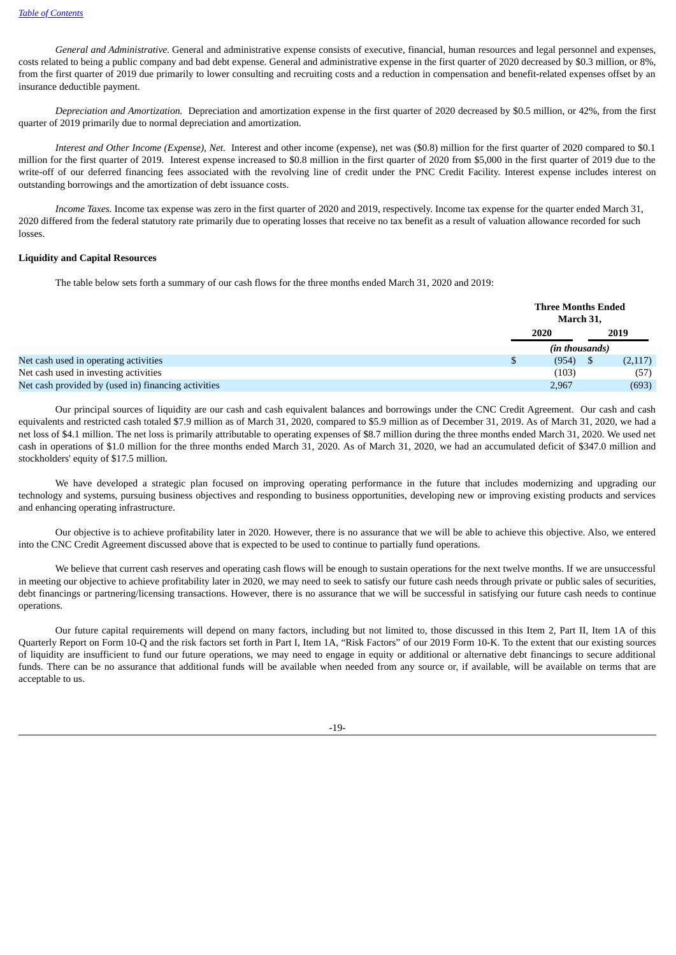*General and Administrative.* General and administrative expense consists of executive, financial, human resources and legal personnel and expenses, costs related to being a public company and bad debt expense. General and administrative expense in the first quarter of 2020 decreased by \$0.3 million, or 8%, from the first quarter of 2019 due primarily to lower consulting and recruiting costs and a reduction in compensation and benefit-related expenses offset by an insurance deductible payment.

*Depreciation and Amortization.* Depreciation and amortization expense in the first quarter of 2020 decreased by \$0.5 million, or 42%, from the first quarter of 2019 primarily due to normal depreciation and amortization.

*Interest and Other Income (Expense), Net.* Interest and other income (expense), net was (\$0.8) million for the first quarter of 2020 compared to \$0.1 million for the first quarter of 2019. Interest expense increased to \$0.8 million in the first quarter of 2020 from \$5,000 in the first quarter of 2019 due to the write-off of our deferred financing fees associated with the revolving line of credit under the PNC Credit Facility. Interest expense includes interest on outstanding borrowings and the amortization of debt issuance costs.

*Income Taxes.* Income tax expense was zero in the first quarter of 2020 and 2019, respectively. Income tax expense for the quarter ended March 31, 2020 differed from the federal statutory rate primarily due to operating losses that receive no tax benefit as a result of valuation allowance recorded for such losses.

#### **Liquidity and Capital Resources**

The table below sets forth a summary of our cash flows for the three months ended March 31, 2020 and 2019:

|                                                     | <b>Three Months Ended</b><br>March 31, |  |         |  |
|-----------------------------------------------------|----------------------------------------|--|---------|--|
|                                                     | 2020                                   |  | 2019    |  |
|                                                     | (in thousands)                         |  |         |  |
| Net cash used in operating activities               | (954)                                  |  | (2,117) |  |
| Net cash used in investing activities               | (103)                                  |  | (57)    |  |
| Net cash provided by (used in) financing activities | 2,967                                  |  | (693)   |  |

Our principal sources of liquidity are our cash and cash equivalent balances and borrowings under the CNC Credit Agreement. Our cash and cash equivalents and restricted cash totaled \$7.9 million as of March 31, 2020, compared to \$5.9 million as of December 31, 2019. As of March 31, 2020, we had a net loss of \$4.1 million. The net loss is primarily attributable to operating expenses of \$8.7 million during the three months ended March 31, 2020. We used net cash in operations of \$1.0 million for the three months ended March 31, 2020. As of March 31, 2020, we had an accumulated deficit of \$347.0 million and stockholders' equity of \$17.5 million.

We have developed a strategic plan focused on improving operating performance in the future that includes modernizing and upgrading our technology and systems, pursuing business objectives and responding to business opportunities, developing new or improving existing products and services and enhancing operating infrastructure.

Our objective is to achieve profitability later in 2020. However, there is no assurance that we will be able to achieve this objective. Also, we entered into the CNC Credit Agreement discussed above that is expected to be used to continue to partially fund operations.

We believe that current cash reserves and operating cash flows will be enough to sustain operations for the next twelve months. If we are unsuccessful in meeting our objective to achieve profitability later in 2020, we may need to seek to satisfy our future cash needs through private or public sales of securities, debt financings or partnering/licensing transactions. However, there is no assurance that we will be successful in satisfying our future cash needs to continue operations.

Our future capital requirements will depend on many factors, including but not limited to, those discussed in this Item 2, Part II, Item 1A of this Quarterly Report on Form 10-Q and the risk factors set forth in Part I, Item 1A, "Risk Factors" of our 2019 Form 10-K. To the extent that our existing sources of liquidity are insufficient to fund our future operations, we may need to engage in equity or additional or alternative debt financings to secure additional funds. There can be no assurance that additional funds will be available when needed from any source or, if available, will be available on terms that are acceptable to us.

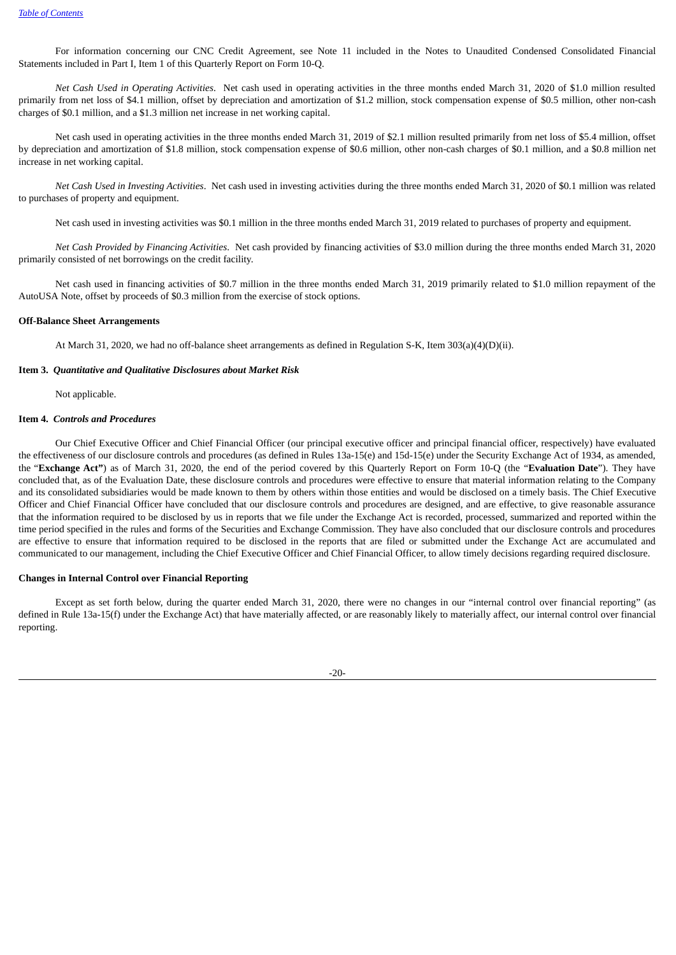For information concerning our CNC Credit Agreement, see Note 11 included in the Notes to Unaudited Condensed Consolidated Financial Statements included in Part I, Item 1 of this Quarterly Report on Form 10-Q.

*Net Cash Used in Operating Activities*. Net cash used in operating activities in the three months ended March 31, 2020 of \$1.0 million resulted primarily from net loss of \$4.1 million, offset by depreciation and amortization of \$1.2 million, stock compensation expense of \$0.5 million, other non-cash charges of \$0.1 million, and a \$1.3 million net increase in net working capital.

Net cash used in operating activities in the three months ended March 31, 2019 of \$2.1 million resulted primarily from net loss of \$5.4 million, offset by depreciation and amortization of \$1.8 million, stock compensation expense of \$0.6 million, other non-cash charges of \$0.1 million, and a \$0.8 million net increase in net working capital.

*Net Cash Used in Investing Activities*. Net cash used in investing activities during the three months ended March 31, 2020 of \$0.1 million was related to purchases of property and equipment.

Net cash used in investing activities was \$0.1 million in the three months ended March 31, 2019 related to purchases of property and equipment.

*Net Cash Provided by Financing Activities*. Net cash provided by financing activities of \$3.0 million during the three months ended March 31, 2020 primarily consisted of net borrowings on the credit facility.

Net cash used in financing activities of \$0.7 million in the three months ended March 31, 2019 primarily related to \$1.0 million repayment of the AutoUSA Note, offset by proceeds of \$0.3 million from the exercise of stock options.

#### **Off-Balance Sheet Arrangements**

<span id="page-21-0"></span>At March 31, 2020, we had no off-balance sheet arrangements as defined in Regulation S-K, Item 303(a)(4)(D)(ii).

#### **Item 3.** *Quantitative and Qualitative Disclosures about Market Risk*

Not applicable.

#### **Item 4.** *Controls and Procedures*

Our Chief Executive Officer and Chief Financial Officer (our principal executive officer and principal financial officer, respectively) have evaluated the effectiveness of our disclosure controls and procedures (as defined in Rules 13a-15(e) and 15d-15(e) under the Security Exchange Act of 1934, as amended, the "**Exchange Act"**) as of March 31, 2020, the end of the period covered by this Quarterly Report on Form 10-Q (the "**Evaluation Date**"). They have concluded that, as of the Evaluation Date, these disclosure controls and procedures were effective to ensure that material information relating to the Company and its consolidated subsidiaries would be made known to them by others within those entities and would be disclosed on a timely basis. The Chief Executive Officer and Chief Financial Officer have concluded that our disclosure controls and procedures are designed, and are effective, to give reasonable assurance that the information required to be disclosed by us in reports that we file under the Exchange Act is recorded, processed, summarized and reported within the time period specified in the rules and forms of the Securities and Exchange Commission. They have also concluded that our disclosure controls and procedures are effective to ensure that information required to be disclosed in the reports that are filed or submitted under the Exchange Act are accumulated and communicated to our management, including the Chief Executive Officer and Chief Financial Officer, to allow timely decisions regarding required disclosure.

### **Changes in Internal Control over Financial Reporting**

Except as set forth below, during the quarter ended March 31, 2020, there were no changes in our "internal control over financial reporting" (as defined in Rule 13a-15(f) under the Exchange Act) that have materially affected, or are reasonably likely to materially affect, our internal control over financial reporting.

 $-20-$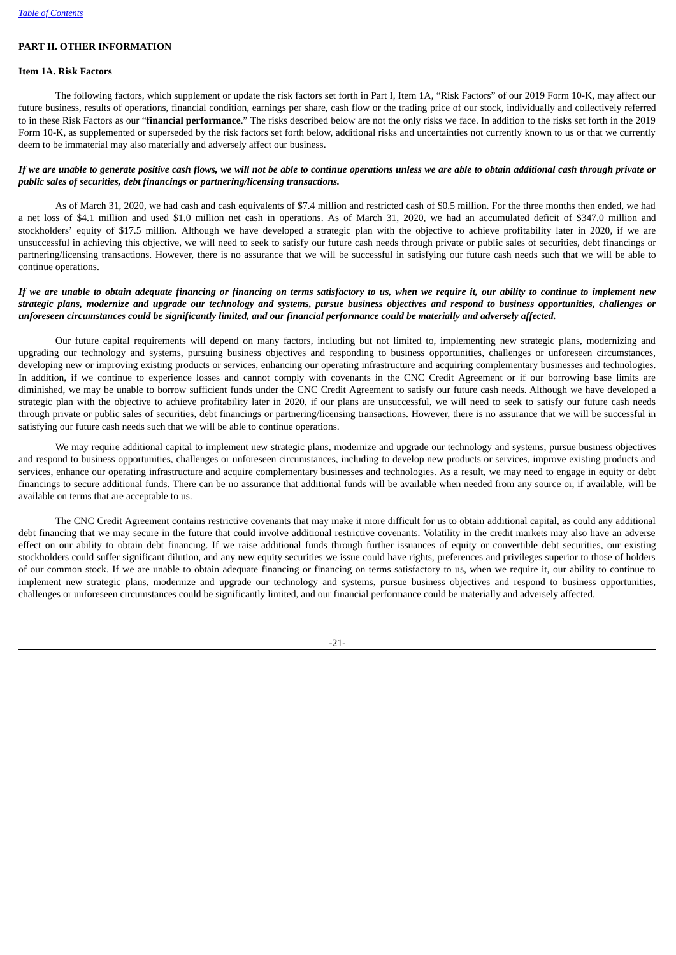# <span id="page-22-0"></span>**PART II. OTHER INFORMATION**

### **Item 1A. Risk Factors**

The following factors, which supplement or update the risk factors set forth in Part I, Item 1A, "Risk Factors" of our 2019 Form 10-K, may affect our future business, results of operations, financial condition, earnings per share, cash flow or the trading price of our stock, individually and collectively referred to in these Risk Factors as our "**financial performance**." The risks described below are not the only risks we face. In addition to the risks set forth in the 2019 Form 10-K, as supplemented or superseded by the risk factors set forth below, additional risks and uncertainties not currently known to us or that we currently deem to be immaterial may also materially and adversely affect our business.

### *If we are unable to generate positive cash flows, we will not be able to continue operations unless we are able to obtain additional cash through private or public sales of securities, debt financings or partnering/licensing transactions.*

As of March 31, 2020, we had cash and cash equivalents of \$7.4 million and restricted cash of \$0.5 million. For the three months then ended, we had a net loss of \$4.1 million and used \$1.0 million net cash in operations. As of March 31, 2020, we had an accumulated deficit of \$347.0 million and stockholders' equity of \$17.5 million. Although we have developed a strategic plan with the objective to achieve profitability later in 2020, if we are unsuccessful in achieving this objective, we will need to seek to satisfy our future cash needs through private or public sales of securities, debt financings or partnering/licensing transactions. However, there is no assurance that we will be successful in satisfying our future cash needs such that we will be able to continue operations.

### *If we are unable to obtain adequate financing or financing on terms satisfactory to us, when we require it, our ability to continue to implement new strategic plans, modernize and upgrade our technology and systems, pursue business objectives and respond to business opportunities, challenges or unforeseen circumstances could be significantly limited, and our financial performance could be materially and adversely affected.*

Our future capital requirements will depend on many factors, including but not limited to, implementing new strategic plans, modernizing and upgrading our technology and systems, pursuing business objectives and responding to business opportunities, challenges or unforeseen circumstances, developing new or improving existing products or services, enhancing our operating infrastructure and acquiring complementary businesses and technologies. In addition, if we continue to experience losses and cannot comply with covenants in the CNC Credit Agreement or if our borrowing base limits are diminished, we may be unable to borrow sufficient funds under the CNC Credit Agreement to satisfy our future cash needs. Although we have developed a strategic plan with the objective to achieve profitability later in 2020, if our plans are unsuccessful, we will need to seek to satisfy our future cash needs through private or public sales of securities, debt financings or partnering/licensing transactions. However, there is no assurance that we will be successful in satisfying our future cash needs such that we will be able to continue operations.

We may require additional capital to implement new strategic plans, modernize and upgrade our technology and systems, pursue business objectives and respond to business opportunities, challenges or unforeseen circumstances, including to develop new products or services, improve existing products and services, enhance our operating infrastructure and acquire complementary businesses and technologies. As a result, we may need to engage in equity or debt financings to secure additional funds. There can be no assurance that additional funds will be available when needed from any source or, if available, will be available on terms that are acceptable to us.

The CNC Credit Agreement contains restrictive covenants that may make it more difficult for us to obtain additional capital, as could any additional debt financing that we may secure in the future that could involve additional restrictive covenants. Volatility in the credit markets may also have an adverse effect on our ability to obtain debt financing. If we raise additional funds through further issuances of equity or convertible debt securities, our existing stockholders could suffer significant dilution, and any new equity securities we issue could have rights, preferences and privileges superior to those of holders of our common stock. If we are unable to obtain adequate financing or financing on terms satisfactory to us, when we require it, our ability to continue to implement new strategic plans, modernize and upgrade our technology and systems, pursue business objectives and respond to business opportunities, challenges or unforeseen circumstances could be significantly limited, and our financial performance could be materially and adversely affected.

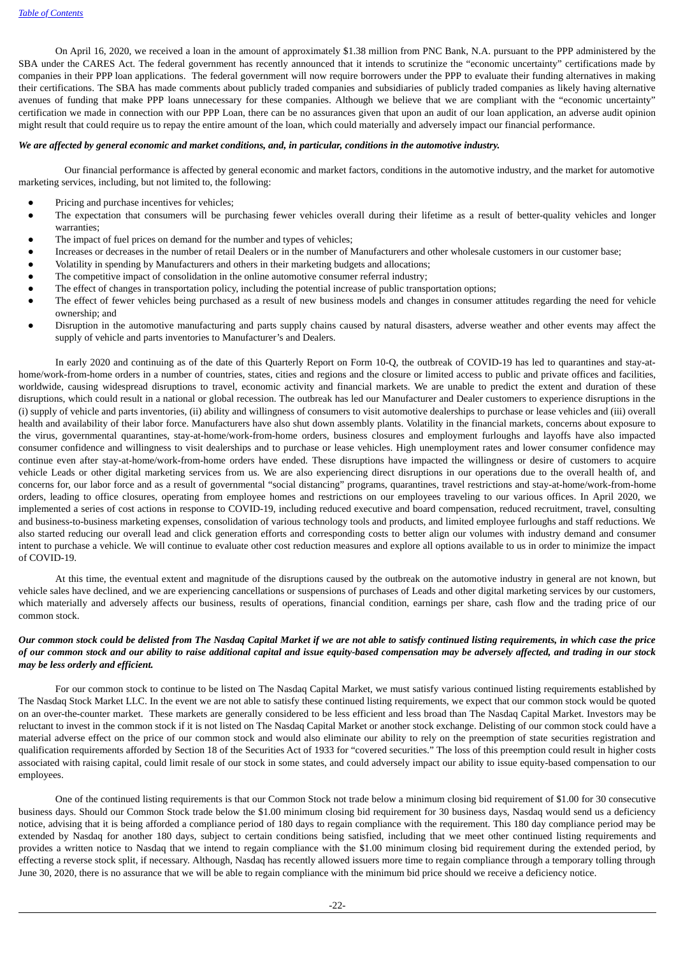On April 16, 2020, we received a loan in the amount of approximately \$1.38 million from PNC Bank, N.A. pursuant to the PPP administered by the SBA under the CARES Act. The federal government has recently announced that it intends to scrutinize the "economic uncertainty" certifications made by companies in their PPP loan applications. The federal government will now require borrowers under the PPP to evaluate their funding alternatives in making their certifications. The SBA has made comments about publicly traded companies and subsidiaries of publicly traded companies as likely having alternative avenues of funding that make PPP loans unnecessary for these companies. Although we believe that we are compliant with the "economic uncertainty" certification we made in connection with our PPP Loan, there can be no assurances given that upon an audit of our loan application, an adverse audit opinion might result that could require us to repay the entire amount of the loan, which could materially and adversely impact our financial performance.

#### *We are affected by general economic and market conditions, and, in particular, conditions in the automotive industry.*

Our financial performance is affected by general economic and market factors, conditions in the automotive industry, and the market for automotive marketing services, including, but not limited to, the following:

- Pricing and purchase incentives for vehicles;
- The expectation that consumers will be purchasing fewer vehicles overall during their lifetime as a result of better-quality vehicles and longer warranties;
- The impact of fuel prices on demand for the number and types of vehicles;
- Increases or decreases in the number of retail Dealers or in the number of Manufacturers and other wholesale customers in our customer base;
- Volatility in spending by Manufacturers and others in their marketing budgets and allocations;
- The competitive impact of consolidation in the online automotive consumer referral industry;
- The effect of changes in transportation policy, including the potential increase of public transportation options;
- The effect of fewer vehicles being purchased as a result of new business models and changes in consumer attitudes regarding the need for vehicle ownership; and
- Disruption in the automotive manufacturing and parts supply chains caused by natural disasters, adverse weather and other events may affect the supply of vehicle and parts inventories to Manufacturer's and Dealers.

In early 2020 and continuing as of the date of this Quarterly Report on Form 10-Q, the outbreak of COVID-19 has led to quarantines and stay-athome/work-from-home orders in a number of countries, states, cities and regions and the closure or limited access to public and private offices and facilities, worldwide, causing widespread disruptions to travel, economic activity and financial markets. We are unable to predict the extent and duration of these disruptions, which could result in a national or global recession. The outbreak has led our Manufacturer and Dealer customers to experience disruptions in the (i) supply of vehicle and parts inventories, (ii) ability and willingness of consumers to visit automotive dealerships to purchase or lease vehicles and (iii) overall health and availability of their labor force. Manufacturers have also shut down assembly plants. Volatility in the financial markets, concerns about exposure to the virus, governmental quarantines, stay-at-home/work-from-home orders, business closures and employment furloughs and layoffs have also impacted consumer confidence and willingness to visit dealerships and to purchase or lease vehicles. High unemployment rates and lower consumer confidence may continue even after stay-at-home/work-from-home orders have ended. These disruptions have impacted the willingness or desire of customers to acquire vehicle Leads or other digital marketing services from us. We are also experiencing direct disruptions in our operations due to the overall health of, and concerns for, our labor force and as a result of governmental "social distancing" programs, quarantines, travel restrictions and stay-at-home/work-from-home orders, leading to office closures, operating from employee homes and restrictions on our employees traveling to our various offices. In April 2020, we implemented a series of cost actions in response to COVID-19, including reduced executive and board compensation, reduced recruitment, travel, consulting and business-to-business marketing expenses, consolidation of various technology tools and products, and limited employee furloughs and staff reductions. We also started reducing our overall lead and click generation efforts and corresponding costs to better align our volumes with industry demand and consumer intent to purchase a vehicle. We will continue to evaluate other cost reduction measures and explore all options available to us in order to minimize the impact of COVID-19.

At this time, the eventual extent and magnitude of the disruptions caused by the outbreak on the automotive industry in general are not known, but vehicle sales have declined, and we are experiencing cancellations or suspensions of purchases of Leads and other digital marketing services by our customers, which materially and adversely affects our business, results of operations, financial condition, earnings per share, cash flow and the trading price of our common stock.

### *Our common stock could be delisted from The Nasdaq Capital Market if we are not able to satisfy continued listing requirements, in which case the price of our common stock and our ability to raise additional capital and issue equity-based compensation may be adversely affected, and trading in our stock may be less orderly and efficient.*

For our common stock to continue to be listed on The Nasdaq Capital Market, we must satisfy various continued listing requirements established by The Nasdaq Stock Market LLC. In the event we are not able to satisfy these continued listing requirements, we expect that our common stock would be quoted on an over-the-counter market. These markets are generally considered to be less efficient and less broad than The Nasdaq Capital Market. Investors may be reluctant to invest in the common stock if it is not listed on The Nasdaq Capital Market or another stock exchange. Delisting of our common stock could have a material adverse effect on the price of our common stock and would also eliminate our ability to rely on the preemption of state securities registration and qualification requirements afforded by Section 18 of the Securities Act of 1933 for "covered securities." The loss of this preemption could result in higher costs associated with raising capital, could limit resale of our stock in some states, and could adversely impact our ability to issue equity-based compensation to our employees.

One of the continued listing requirements is that our Common Stock not trade below a minimum closing bid requirement of \$1.00 for 30 consecutive business days. Should our Common Stock trade below the \$1.00 minimum closing bid requirement for 30 business days, Nasdaq would send us a deficiency notice, advising that it is being afforded a compliance period of 180 days to regain compliance with the requirement. This 180 day compliance period may be extended by Nasdaq for another 180 days, subject to certain conditions being satisfied, including that we meet other continued listing requirements and provides a written notice to Nasdaq that we intend to regain compliance with the \$1.00 minimum closing bid requirement during the extended period, by effecting a reverse stock split, if necessary. Although, Nasdaq has recently allowed issuers more time to regain compliance through a temporary tolling through June 30, 2020, there is no assurance that we will be able to regain compliance with the minimum bid price should we receive a deficiency notice.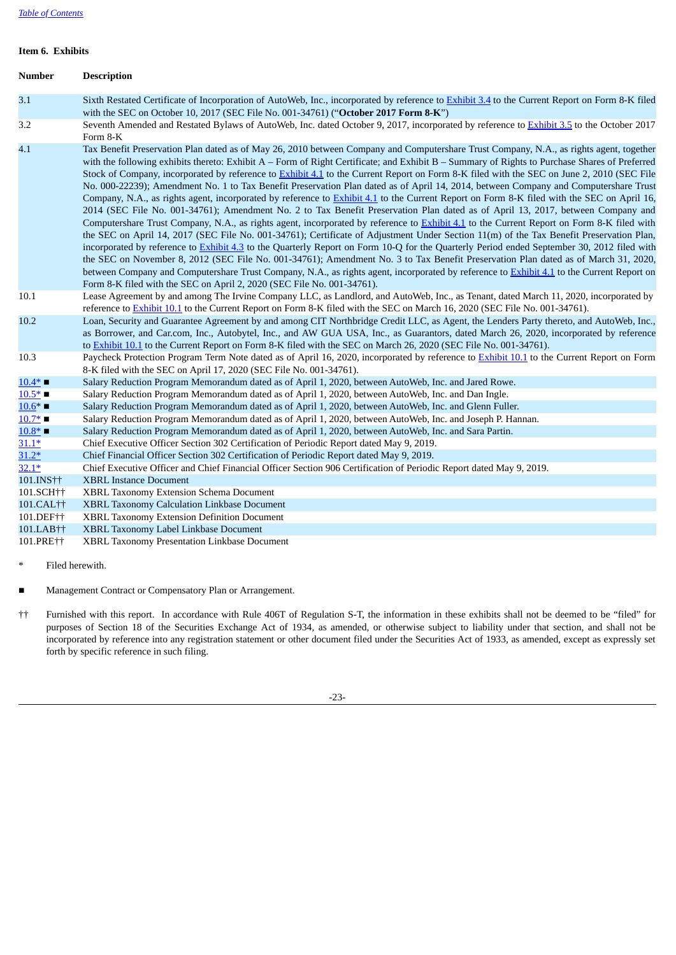### <span id="page-24-0"></span>**Item 6. Exhibits**

## **Number Description** 3.1 Sixth Restated Certificate of Incorporation of AutoWeb, Inc., incorporated by reference to [Exhibit 3.4](http://www.sec.gov/Archives/edgar/data/1023364/000165495417009238/ex3-4.htm) to the Current Report on Form 8-K filed with the SEC on October 10, 2017 (SEC File No. 001-34761) ("**October 2017 Form 8-K**") 3.2 Seventh Amended and Restated Bylaws of AutoWeb, Inc. dated October 9, 2017, incorporated by reference to [Exhibit 3.5](http://www.sec.gov/Archives/edgar/data/1023364/000165495417009238/ex3-5.htm) to the October 2017 Form 8-K 4.1 Tax Benefit Preservation Plan dated as of May 26, 2010 between Company and Computershare Trust Company, N.A., as rights agent, together with the following exhibits thereto: Exhibit A – Form of Right Certificate; and Exhibit B – Summary of Rights to Purchase Shares of Preferred Stock of Company, incorporated by reference to **[Exhibit 4.1](http://www.sec.gov/Archives/edgar/data/1023364/000102336410000035/ex4_1.htm)** to the Current Report on Form 8-K filed with the SEC on June 2, 2010 (SEC File No. 000-22239); Amendment No. 1 to Tax Benefit Preservation Plan dated as of April 14, 2014, between Company and Computershare Trust Company, N.A., as rights agent, incorporated by reference to **[Exhibit 4.1](http://www.sec.gov/Archives/edgar/data/1023364/000102336414000023/ex4_1.htm)** to the Current Report on Form 8-K filed with the SEC on April 16, 2014 (SEC File No. 001-34761); Amendment No. 2 to Tax Benefit Preservation Plan dated as of April 13, 2017, between Company and Computershare Trust Company, N.A., as rights agent, incorporated by reference to [Exhibit 4.1](http://www.sec.gov/Archives/edgar/data/1023364/000165495417003327/ex4-1.htm) to the Current Report on Form 8-K filed with the SEC on April 14, 2017 (SEC File No. 001-34761); Certificate of Adjustment Under Section 11(m) of the Tax Benefit Preservation Plan, incorporated by reference to **[Exhibit 4.3](http://www.sec.gov/Archives/edgar/data/1023364/000102336412000084/abtlex4_3.htm)** to the Quarterly Report on Form 10-Q for the Quarterly Period ended September 30, 2012 filed with the SEC on November 8, 2012 (SEC File No. 001-34761); Amendment No. 3 to Tax Benefit Preservation Plan dated as of March 31, 2020, between Company and Computershare Trust Company, N.A., as rights agent, incorporated by reference to **[Exhibit 4.1](http://www.sec.gov/Archives/edgar/data/1023364/000165495420003692/ex4-1.htm)** to the Current Report on Form 8-K filed with the SEC on April 2, 2020 (SEC File No. 001-34761). 10.1 Lease Agreement by and among The Irvine Company LLC, as Landlord, and AutoWeb, Inc., as Tenant, dated March 11, 2020, incorporated by reference to [Exhibit 10.1](http://www.sec.gov/Archives/edgar/data/1023364/000165495420002688/ex10-1.htm) to the Current Report on Form 8-K filed with the SEC on March 16, 2020 (SEC File No. 001-34761). 10.2 Loan, Security and Guarantee Agreement by and among CIT Northbridge Credit LLC, as Agent, the Lenders Party thereto, and AutoWeb, Inc., as Borrower, and Car.com, Inc., Autobytel, Inc., and AW GUA USA, Inc., as Guarantors, dated March 26, 2020, incorporated by reference to [Exhibit 10.1](http://www.sec.gov/Archives/edgar/data/1023364/000165495420003343/ex10-1.htm) to the Current Report on Form 8-K filed with the SEC on March 26, 2020 (SEC File No. 001-34761). 10.3 Paycheck Protection Program Term Note dated as of April 16, 2020, incorporated by reference to [Exhibit 10.1](http://www.sec.gov/Archives/edgar/data/1023364/000165495420004208/ex10-1.htm) to the Current Report on Form 8-K filed with the SEC on April 17, 2020 (SEC File No. 001-34761). [10.4\\*](#page-26-0) ■ Salary Reduction Program Memorandum dated as of April 1, 2020, between AutoWeb, Inc. and Jared Rowe. [10.5\\*](#page-28-0) ■ Salary Reduction Program Memorandum dated as of April 1, 2020, between AutoWeb, Inc. and Dan Ingle. 10.6<sup>\*</sup> ■ Salary Reduction Program Memorandum dated as of April 1, 2020, between AutoWeb, Inc. and Glenn Fuller.<br>10.7<sup>\*</sup> ■ Salary Reduction Program Memorandum dated as of April 1, 2020, between AutoWeb, Inc. and Joseph P. Salary Reduction Program Memorandum dated as of April 1, 2020, between AutoWeb, Inc. and Joseph P. Hannan. [10.8\\*](#page-34-0) ■ Salary Reduction Program Memorandum dated as of April 1, 2020, between AutoWeb, Inc. and Sara Partin. [31.1\\*](#page-36-0) Chief Executive Officer Section 302 Certification of Periodic Report dated May 9, 2019. [31.2\\*](#page-37-0) Chief Financial Officer Section 302 Certification of Periodic Report dated May 9, 2019. [32.1\\*](#page-38-0) Chief Executive Officer and Chief Financial Officer Section 906 Certification of Periodic Report dated May 9, 2019. 101.INS†† XBRL Instance Document 101.SCH†† XBRL Taxonomy Extension Schema Document 101.CAL†† XBRL Taxonomy Calculation Linkbase Document 101.DEF†† XBRL Taxonomy Extension Definition Document 101.LAB†† XBRL Taxonomy Label Linkbase Document 101.PRE†† XBRL Taxonomy Presentation Linkbase Document

Filed herewith.

- Management Contract or Compensatory Plan or Arrangement.
- †† Furnished with this report. In accordance with Rule 406T of Regulation S-T, the information in these exhibits shall not be deemed to be "filed" for purposes of Section 18 of the Securities Exchange Act of 1934, as amended, or otherwise subject to liability under that section, and shall not be incorporated by reference into any registration statement or other document filed under the Securities Act of 1933, as amended, except as expressly set forth by specific reference in such filing.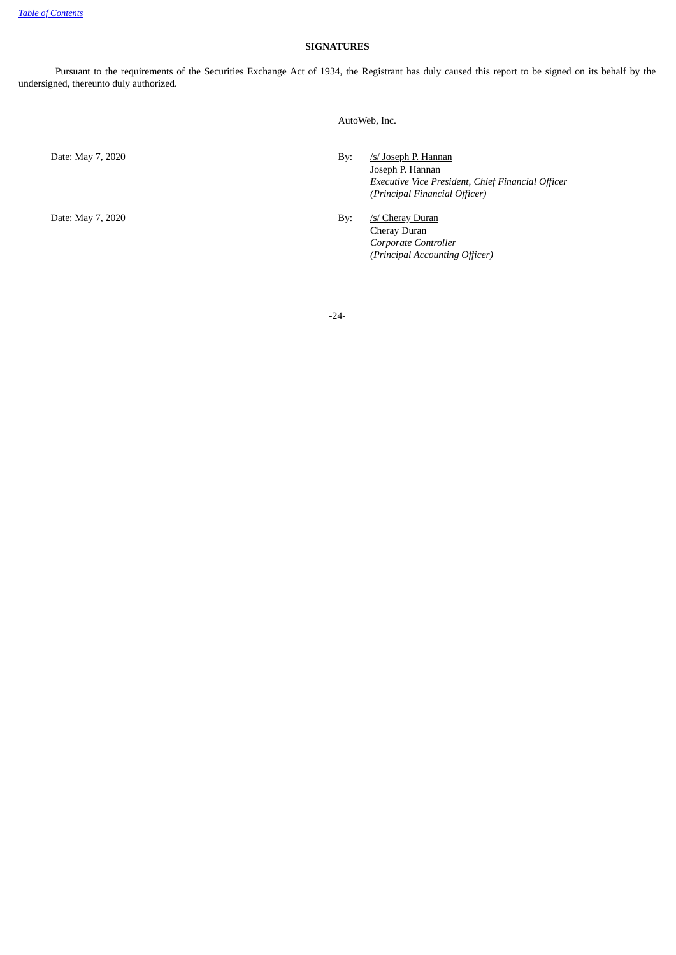# <span id="page-25-0"></span>**SIGNATURES**

Pursuant to the requirements of the Securities Exchange Act of 1934, the Registrant has duly caused this report to be signed on its behalf by the undersigned, thereunto duly authorized.

|                   |     | AutoWeb, Inc.                                                                                                                  |
|-------------------|-----|--------------------------------------------------------------------------------------------------------------------------------|
| Date: May 7, 2020 | By: | /s/ Joseph P. Hannan<br>Joseph P. Hannan<br>Executive Vice President, Chief Financial Officer<br>(Principal Financial Officer) |
| Date: May 7, 2020 | By: | /s/ Cheray Duran<br>Cheray Duran<br>Corporate Controller<br>(Principal Accounting Officer)                                     |

-24-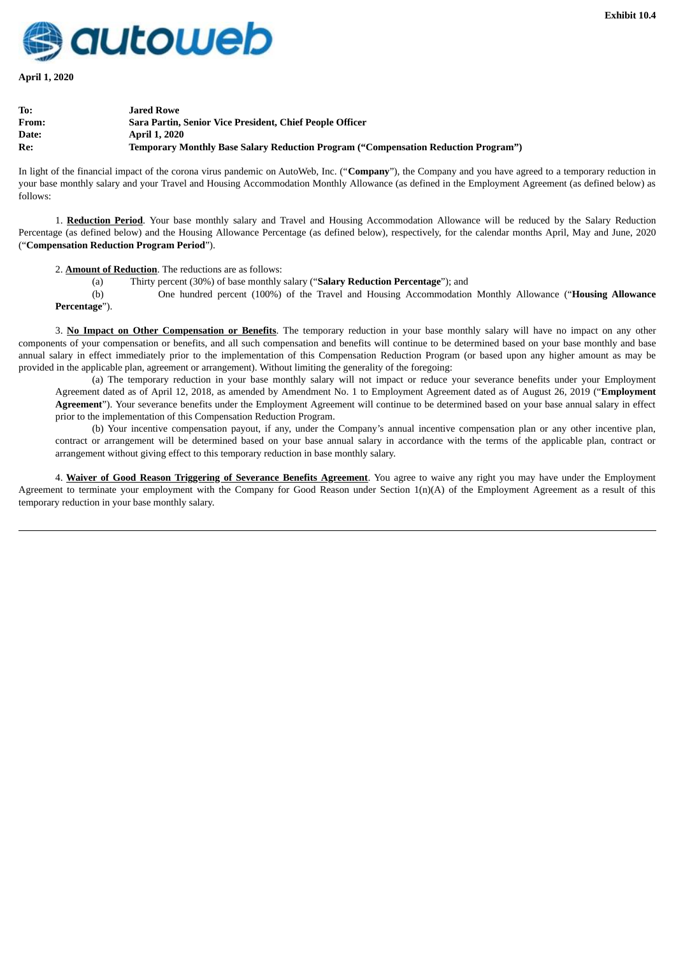<span id="page-26-0"></span>

**April 1, 2020**

| To:   | <b>Jared Rowe</b>                                                                  |
|-------|------------------------------------------------------------------------------------|
| From: | Sara Partin, Senior Vice President, Chief People Officer                           |
| Date: | <b>April 1, 2020</b>                                                               |
| Re:   | Temporary Monthly Base Salary Reduction Program ("Compensation Reduction Program") |

In light of the financial impact of the corona virus pandemic on AutoWeb, Inc. ("**Company**"), the Company and you have agreed to a temporary reduction in your base monthly salary and your Travel and Housing Accommodation Monthly Allowance (as defined in the Employment Agreement (as defined below) as follows:

1. **Reduction Period**. Your base monthly salary and Travel and Housing Accommodation Allowance will be reduced by the Salary Reduction Percentage (as defined below) and the Housing Allowance Percentage (as defined below), respectively, for the calendar months April, May and June, 2020 ("**Compensation Reduction Program Period**").

2. **Amount of Reduction**. The reductions are as follows:

(a) Thirty percent (30%) of base monthly salary ("**Salary Reduction Percentage**"); and

(b) One hundred percent (100%) of the Travel and Housing Accommodation Monthly Allowance ("**Housing Allowance Percentage**").

3. **No Impact on Other Compensation or Benefits**. The temporary reduction in your base monthly salary will have no impact on any other components of your compensation or benefits, and all such compensation and benefits will continue to be determined based on your base monthly and base annual salary in effect immediately prior to the implementation of this Compensation Reduction Program (or based upon any higher amount as may be provided in the applicable plan, agreement or arrangement). Without limiting the generality of the foregoing:

(a) The temporary reduction in your base monthly salary will not impact or reduce your severance benefits under your Employment Agreement dated as of April 12, 2018, as amended by Amendment No. 1 to Employment Agreement dated as of August 26, 2019 ("**Employment Agreement**"). Your severance benefits under the Employment Agreement will continue to be determined based on your base annual salary in effect prior to the implementation of this Compensation Reduction Program.

(b) Your incentive compensation payout, if any, under the Company's annual incentive compensation plan or any other incentive plan, contract or arrangement will be determined based on your base annual salary in accordance with the terms of the applicable plan, contract or arrangement without giving effect to this temporary reduction in base monthly salary.

4. **Waiver of Good Reason Triggering of Severance Benefits Agreement**. You agree to waive any right you may have under the Employment Agreement to terminate your employment with the Company for Good Reason under Section 1(n)(A) of the Employment Agreement as a result of this temporary reduction in your base monthly salary.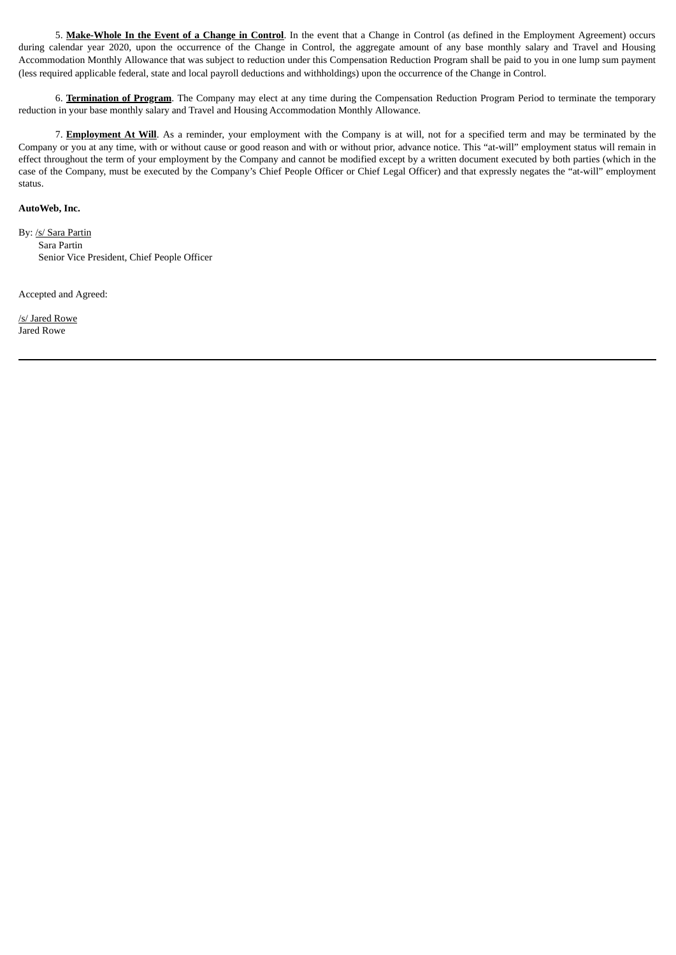5. **Make-Whole In the Event of a Change in Control**. In the event that a Change in Control (as defined in the Employment Agreement) occurs during calendar year 2020, upon the occurrence of the Change in Control, the aggregate amount of any base monthly salary and Travel and Housing Accommodation Monthly Allowance that was subject to reduction under this Compensation Reduction Program shall be paid to you in one lump sum payment (less required applicable federal, state and local payroll deductions and withholdings) upon the occurrence of the Change in Control.

6. **Termination of Program**. The Company may elect at any time during the Compensation Reduction Program Period to terminate the temporary reduction in your base monthly salary and Travel and Housing Accommodation Monthly Allowance.

7. **Employment At Will**. As a reminder, your employment with the Company is at will, not for a specified term and may be terminated by the Company or you at any time, with or without cause or good reason and with or without prior, advance notice. This "at-will" employment status will remain in effect throughout the term of your employment by the Company and cannot be modified except by a written document executed by both parties (which in the case of the Company, must be executed by the Company's Chief People Officer or Chief Legal Officer) and that expressly negates the "at-will" employment status.

### **AutoWeb, Inc.**

By: /s/ Sara Partin Sara Partin Senior Vice President, Chief People Officer

Accepted and Agreed:

/s/ Jared Rowe Jared Rowe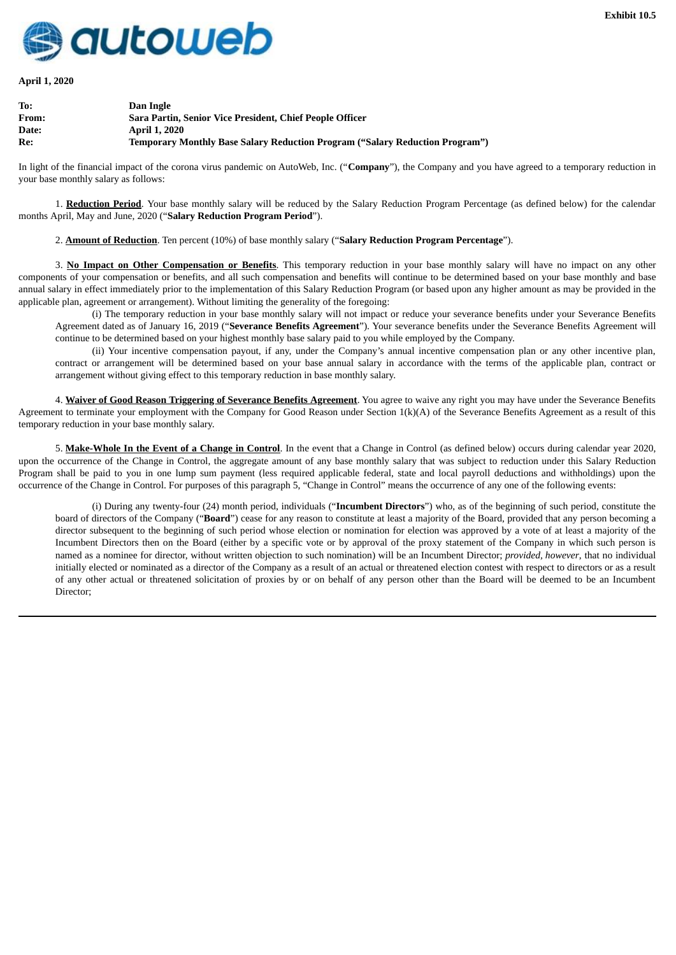<span id="page-28-0"></span>

**April 1, 2020**

| To:   | Dan Ingle                                                                    |
|-------|------------------------------------------------------------------------------|
| From: | Sara Partin, Senior Vice President, Chief People Officer                     |
| Date: | April 1, 2020                                                                |
| Re:   | Temporary Monthly Base Salary Reduction Program ("Salary Reduction Program") |

In light of the financial impact of the corona virus pandemic on AutoWeb, Inc. ("**Company**"), the Company and you have agreed to a temporary reduction in your base monthly salary as follows:

1. **Reduction Period**. Your base monthly salary will be reduced by the Salary Reduction Program Percentage (as defined below) for the calendar months April, May and June, 2020 ("**Salary Reduction Program Period**").

2. **Amount of Reduction**. Ten percent (10%) of base monthly salary ("**Salary Reduction Program Percentage**").

3. **No Impact on Other Compensation or Benefits**. This temporary reduction in your base monthly salary will have no impact on any other components of your compensation or benefits, and all such compensation and benefits will continue to be determined based on your base monthly and base annual salary in effect immediately prior to the implementation of this Salary Reduction Program (or based upon any higher amount as may be provided in the applicable plan, agreement or arrangement). Without limiting the generality of the foregoing:

(i) The temporary reduction in your base monthly salary will not impact or reduce your severance benefits under your Severance Benefits Agreement dated as of January 16, 2019 ("**Severance Benefits Agreement**"). Your severance benefits under the Severance Benefits Agreement will continue to be determined based on your highest monthly base salary paid to you while employed by the Company.

(ii) Your incentive compensation payout, if any, under the Company's annual incentive compensation plan or any other incentive plan, contract or arrangement will be determined based on your base annual salary in accordance with the terms of the applicable plan, contract or arrangement without giving effect to this temporary reduction in base monthly salary.

4. **Waiver of Good Reason Triggering of Severance Benefits Agreement**. You agree to waive any right you may have under the Severance Benefits Agreement to terminate your employment with the Company for Good Reason under Section 1(k)(A) of the Severance Benefits Agreement as a result of this temporary reduction in your base monthly salary.

5. **Make-Whole In the Event of a Change in Control**. In the event that a Change in Control (as defined below) occurs during calendar year 2020, upon the occurrence of the Change in Control, the aggregate amount of any base monthly salary that was subject to reduction under this Salary Reduction Program shall be paid to you in one lump sum payment (less required applicable federal, state and local payroll deductions and withholdings) upon the occurrence of the Change in Control. For purposes of this paragraph 5, "Change in Control" means the occurrence of any one of the following events:

(i) During any twenty-four (24) month period, individuals ("**Incumbent Directors**") who, as of the beginning of such period, constitute the board of directors of the Company ("**Board**") cease for any reason to constitute at least a majority of the Board, provided that any person becoming a director subsequent to the beginning of such period whose election or nomination for election was approved by a vote of at least a majority of the Incumbent Directors then on the Board (either by a specific vote or by approval of the proxy statement of the Company in which such person is named as a nominee for director, without written objection to such nomination) will be an Incumbent Director; *provided, however*, that no individual initially elected or nominated as a director of the Company as a result of an actual or threatened election contest with respect to directors or as a result of any other actual or threatened solicitation of proxies by or on behalf of any person other than the Board will be deemed to be an Incumbent Director;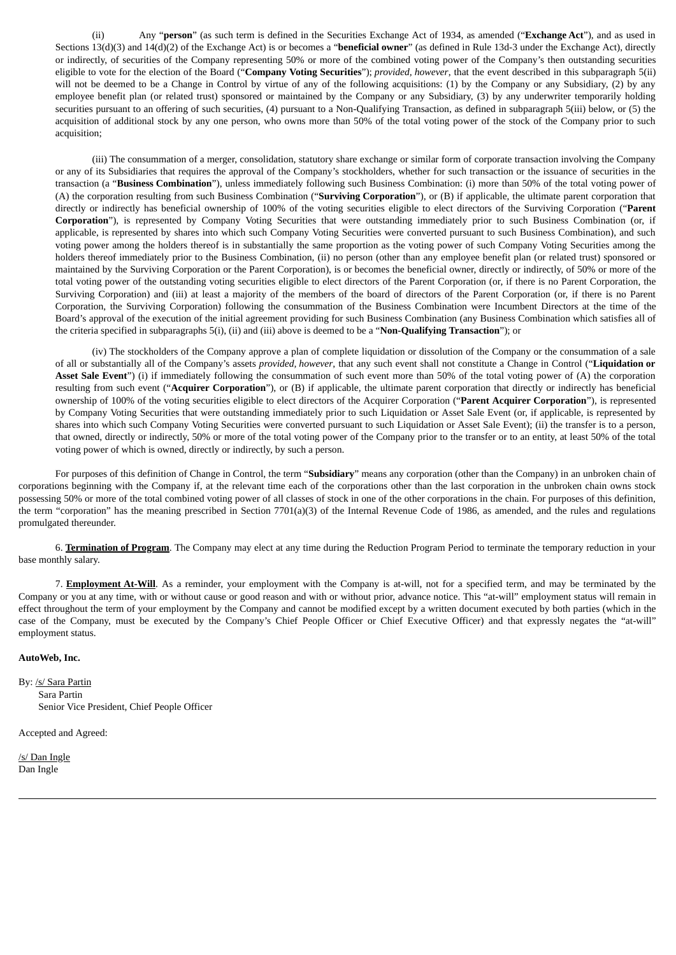(ii) Any "**person**" (as such term is defined in the Securities Exchange Act of 1934, as amended ("**Exchange Act**"), and as used in Sections 13(d)(3) and 14(d)(2) of the Exchange Act) is or becomes a "**beneficial owner**" (as defined in Rule 13d-3 under the Exchange Act), directly or indirectly, of securities of the Company representing 50% or more of the combined voting power of the Company's then outstanding securities eligible to vote for the election of the Board ("**Company Voting Securities**"); *provided, however*, that the event described in this subparagraph 5(ii) will not be deemed to be a Change in Control by virtue of any of the following acquisitions: (1) by the Company or any Subsidiary, (2) by any employee benefit plan (or related trust) sponsored or maintained by the Company or any Subsidiary, (3) by any underwriter temporarily holding securities pursuant to an offering of such securities, (4) pursuant to a Non-Qualifying Transaction, as defined in subparagraph 5(iii) below, or (5) the acquisition of additional stock by any one person, who owns more than 50% of the total voting power of the stock of the Company prior to such acquisition;

(iii) The consummation of a merger, consolidation, statutory share exchange or similar form of corporate transaction involving the Company or any of its Subsidiaries that requires the approval of the Company's stockholders, whether for such transaction or the issuance of securities in the transaction (a "**Business Combination**"), unless immediately following such Business Combination: (i) more than 50% of the total voting power of (A) the corporation resulting from such Business Combination ("**Surviving Corporation**"), or (B) if applicable, the ultimate parent corporation that directly or indirectly has beneficial ownership of 100% of the voting securities eligible to elect directors of the Surviving Corporation ("**Parent Corporation**"), is represented by Company Voting Securities that were outstanding immediately prior to such Business Combination (or, if applicable, is represented by shares into which such Company Voting Securities were converted pursuant to such Business Combination), and such voting power among the holders thereof is in substantially the same proportion as the voting power of such Company Voting Securities among the holders thereof immediately prior to the Business Combination, (ii) no person (other than any employee benefit plan (or related trust) sponsored or maintained by the Surviving Corporation or the Parent Corporation), is or becomes the beneficial owner, directly or indirectly, of 50% or more of the total voting power of the outstanding voting securities eligible to elect directors of the Parent Corporation (or, if there is no Parent Corporation, the Surviving Corporation) and (iii) at least a majority of the members of the board of directors of the Parent Corporation (or, if there is no Parent Corporation, the Surviving Corporation) following the consummation of the Business Combination were Incumbent Directors at the time of the Board's approval of the execution of the initial agreement providing for such Business Combination (any Business Combination which satisfies all of the criteria specified in subparagraphs 5(i), (ii) and (iii) above is deemed to be a "**Non-Qualifying Transaction**"); or

(iv) The stockholders of the Company approve a plan of complete liquidation or dissolution of the Company or the consummation of a sale of all or substantially all of the Company's assets *provided, however*, that any such event shall not constitute a Change in Control ("**Liquidation or** Asset Sale Event") (i) if immediately following the consummation of such event more than 50% of the total voting power of (A) the corporation resulting from such event ("**Acquirer Corporation**"), or (B) if applicable, the ultimate parent corporation that directly or indirectly has beneficial ownership of 100% of the voting securities eligible to elect directors of the Acquirer Corporation ("**Parent Acquirer Corporation**"), is represented by Company Voting Securities that were outstanding immediately prior to such Liquidation or Asset Sale Event (or, if applicable, is represented by shares into which such Company Voting Securities were converted pursuant to such Liquidation or Asset Sale Event); (ii) the transfer is to a person, that owned, directly or indirectly, 50% or more of the total voting power of the Company prior to the transfer or to an entity, at least 50% of the total voting power of which is owned, directly or indirectly, by such a person.

For purposes of this definition of Change in Control, the term "**Subsidiary**" means any corporation (other than the Company) in an unbroken chain of corporations beginning with the Company if, at the relevant time each of the corporations other than the last corporation in the unbroken chain owns stock possessing 50% or more of the total combined voting power of all classes of stock in one of the other corporations in the chain. For purposes of this definition, the term "corporation" has the meaning prescribed in Section 7701(a)(3) of the Internal Revenue Code of 1986, as amended, and the rules and regulations promulgated thereunder.

6. **Termination of Program**. The Company may elect at any time during the Reduction Program Period to terminate the temporary reduction in your base monthly salary.

7. **Employment At-Will**. As a reminder, your employment with the Company is at-will, not for a specified term, and may be terminated by the Company or you at any time, with or without cause or good reason and with or without prior, advance notice. This "at-will" employment status will remain in effect throughout the term of your employment by the Company and cannot be modified except by a written document executed by both parties (which in the case of the Company, must be executed by the Company's Chief People Officer or Chief Executive Officer) and that expressly negates the "at-will" employment status.

#### **AutoWeb, Inc.**

By: /s/ Sara Partin Sara Partin Senior Vice President, Chief People Officer

#### Accepted and Agreed:

/s/ Dan Ingle Dan Ingle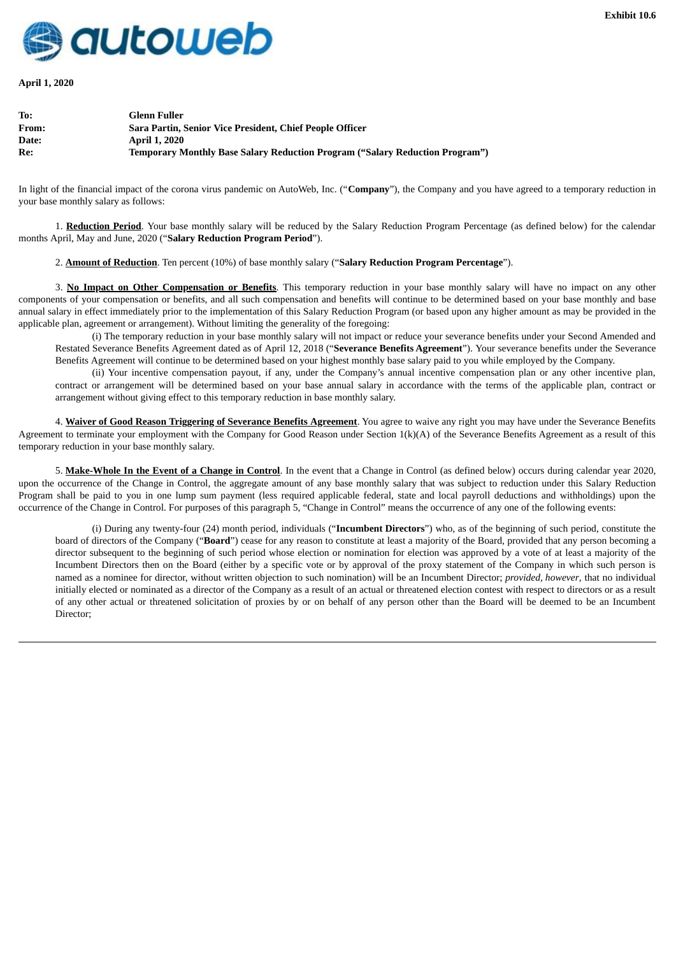<span id="page-30-0"></span>

### **April 1, 2020**

| To:   | Glenn Fuller                                                                        |
|-------|-------------------------------------------------------------------------------------|
| From: | Sara Partin, Senior Vice President, Chief People Officer                            |
| Date: | <b>April 1, 2020</b>                                                                |
| Re:   | <b>Temporary Monthly Base Salary Reduction Program ("Salary Reduction Program")</b> |

In light of the financial impact of the corona virus pandemic on AutoWeb, Inc. ("**Company**"), the Company and you have agreed to a temporary reduction in your base monthly salary as follows:

1. **Reduction Period**. Your base monthly salary will be reduced by the Salary Reduction Program Percentage (as defined below) for the calendar months April, May and June, 2020 ("**Salary Reduction Program Period**").

2. **Amount of Reduction**. Ten percent (10%) of base monthly salary ("**Salary Reduction Program Percentage**").

3. **No Impact on Other Compensation or Benefits**. This temporary reduction in your base monthly salary will have no impact on any other components of your compensation or benefits, and all such compensation and benefits will continue to be determined based on your base monthly and base annual salary in effect immediately prior to the implementation of this Salary Reduction Program (or based upon any higher amount as may be provided in the applicable plan, agreement or arrangement). Without limiting the generality of the foregoing:

(i) The temporary reduction in your base monthly salary will not impact or reduce your severance benefits under your Second Amended and Restated Severance Benefits Agreement dated as of April 12, 2018 ("**Severance Benefits Agreement**"). Your severance benefits under the Severance Benefits Agreement will continue to be determined based on your highest monthly base salary paid to you while employed by the Company.

(ii) Your incentive compensation payout, if any, under the Company's annual incentive compensation plan or any other incentive plan, contract or arrangement will be determined based on your base annual salary in accordance with the terms of the applicable plan, contract or arrangement without giving effect to this temporary reduction in base monthly salary.

4. **Waiver of Good Reason Triggering of Severance Benefits Agreement**. You agree to waive any right you may have under the Severance Benefits Agreement to terminate your employment with the Company for Good Reason under Section 1(k)(A) of the Severance Benefits Agreement as a result of this temporary reduction in your base monthly salary.

5. **Make-Whole In the Event of a Change in Control**. In the event that a Change in Control (as defined below) occurs during calendar year 2020, upon the occurrence of the Change in Control, the aggregate amount of any base monthly salary that was subject to reduction under this Salary Reduction Program shall be paid to you in one lump sum payment (less required applicable federal, state and local payroll deductions and withholdings) upon the occurrence of the Change in Control. For purposes of this paragraph 5, "Change in Control" means the occurrence of any one of the following events:

(i) During any twenty-four (24) month period, individuals ("**Incumbent Directors**") who, as of the beginning of such period, constitute the board of directors of the Company ("**Board**") cease for any reason to constitute at least a majority of the Board, provided that any person becoming a director subsequent to the beginning of such period whose election or nomination for election was approved by a vote of at least a majority of the Incumbent Directors then on the Board (either by a specific vote or by approval of the proxy statement of the Company in which such person is named as a nominee for director, without written objection to such nomination) will be an Incumbent Director; *provided, however*, that no individual initially elected or nominated as a director of the Company as a result of an actual or threatened election contest with respect to directors or as a result of any other actual or threatened solicitation of proxies by or on behalf of any person other than the Board will be deemed to be an Incumbent Director;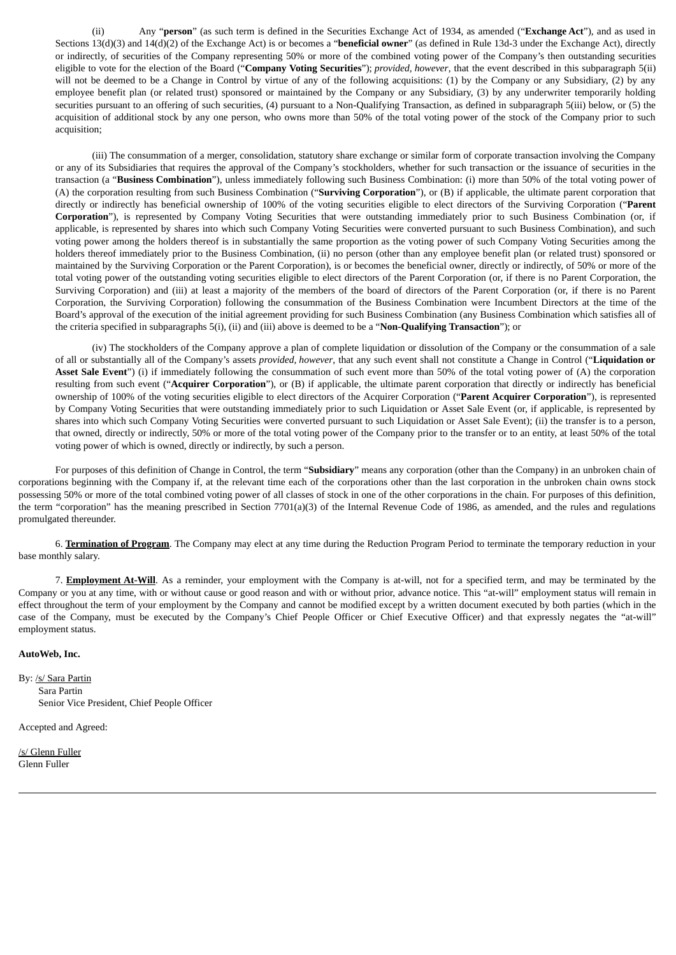(ii) Any "**person**" (as such term is defined in the Securities Exchange Act of 1934, as amended ("**Exchange Act**"), and as used in Sections 13(d)(3) and 14(d)(2) of the Exchange Act) is or becomes a "**beneficial owner**" (as defined in Rule 13d-3 under the Exchange Act), directly or indirectly, of securities of the Company representing 50% or more of the combined voting power of the Company's then outstanding securities eligible to vote for the election of the Board ("**Company Voting Securities**"); *provided, however*, that the event described in this subparagraph 5(ii) will not be deemed to be a Change in Control by virtue of any of the following acquisitions: (1) by the Company or any Subsidiary, (2) by any employee benefit plan (or related trust) sponsored or maintained by the Company or any Subsidiary, (3) by any underwriter temporarily holding securities pursuant to an offering of such securities, (4) pursuant to a Non-Qualifying Transaction, as defined in subparagraph 5(iii) below, or (5) the acquisition of additional stock by any one person, who owns more than 50% of the total voting power of the stock of the Company prior to such acquisition;

(iii) The consummation of a merger, consolidation, statutory share exchange or similar form of corporate transaction involving the Company or any of its Subsidiaries that requires the approval of the Company's stockholders, whether for such transaction or the issuance of securities in the transaction (a "**Business Combination**"), unless immediately following such Business Combination: (i) more than 50% of the total voting power of (A) the corporation resulting from such Business Combination ("**Surviving Corporation**"), or (B) if applicable, the ultimate parent corporation that directly or indirectly has beneficial ownership of 100% of the voting securities eligible to elect directors of the Surviving Corporation ("**Parent Corporation**"), is represented by Company Voting Securities that were outstanding immediately prior to such Business Combination (or, if applicable, is represented by shares into which such Company Voting Securities were converted pursuant to such Business Combination), and such voting power among the holders thereof is in substantially the same proportion as the voting power of such Company Voting Securities among the holders thereof immediately prior to the Business Combination, (ii) no person (other than any employee benefit plan (or related trust) sponsored or maintained by the Surviving Corporation or the Parent Corporation), is or becomes the beneficial owner, directly or indirectly, of 50% or more of the total voting power of the outstanding voting securities eligible to elect directors of the Parent Corporation (or, if there is no Parent Corporation, the Surviving Corporation) and (iii) at least a majority of the members of the board of directors of the Parent Corporation (or, if there is no Parent Corporation, the Surviving Corporation) following the consummation of the Business Combination were Incumbent Directors at the time of the Board's approval of the execution of the initial agreement providing for such Business Combination (any Business Combination which satisfies all of the criteria specified in subparagraphs 5(i), (ii) and (iii) above is deemed to be a "**Non-Qualifying Transaction**"); or

(iv) The stockholders of the Company approve a plan of complete liquidation or dissolution of the Company or the consummation of a sale of all or substantially all of the Company's assets *provided, however*, that any such event shall not constitute a Change in Control ("**Liquidation or Asset Sale Event**") (i) if immediately following the consummation of such event more than 50% of the total voting power of (A) the corporation resulting from such event ("**Acquirer Corporation**"), or (B) if applicable, the ultimate parent corporation that directly or indirectly has beneficial ownership of 100% of the voting securities eligible to elect directors of the Acquirer Corporation ("**Parent Acquirer Corporation**"), is represented by Company Voting Securities that were outstanding immediately prior to such Liquidation or Asset Sale Event (or, if applicable, is represented by shares into which such Company Voting Securities were converted pursuant to such Liquidation or Asset Sale Event); (ii) the transfer is to a person, that owned, directly or indirectly, 50% or more of the total voting power of the Company prior to the transfer or to an entity, at least 50% of the total voting power of which is owned, directly or indirectly, by such a person.

For purposes of this definition of Change in Control, the term "**Subsidiary**" means any corporation (other than the Company) in an unbroken chain of corporations beginning with the Company if, at the relevant time each of the corporations other than the last corporation in the unbroken chain owns stock possessing 50% or more of the total combined voting power of all classes of stock in one of the other corporations in the chain. For purposes of this definition, the term "corporation" has the meaning prescribed in Section 7701(a)(3) of the Internal Revenue Code of 1986, as amended, and the rules and regulations promulgated thereunder.

6. **Termination of Program**. The Company may elect at any time during the Reduction Program Period to terminate the temporary reduction in your base monthly salary.

7. **Employment At-Will**. As a reminder, your employment with the Company is at-will, not for a specified term, and may be terminated by the Company or you at any time, with or without cause or good reason and with or without prior, advance notice. This "at-will" employment status will remain in effect throughout the term of your employment by the Company and cannot be modified except by a written document executed by both parties (which in the case of the Company, must be executed by the Company's Chief People Officer or Chief Executive Officer) and that expressly negates the "at-will" employment status.

#### **AutoWeb, Inc.**

By: /s/ Sara Partin Sara Partin Senior Vice President, Chief People Officer

Accepted and Agreed:

/s/ Glenn Fuller Glenn Fuller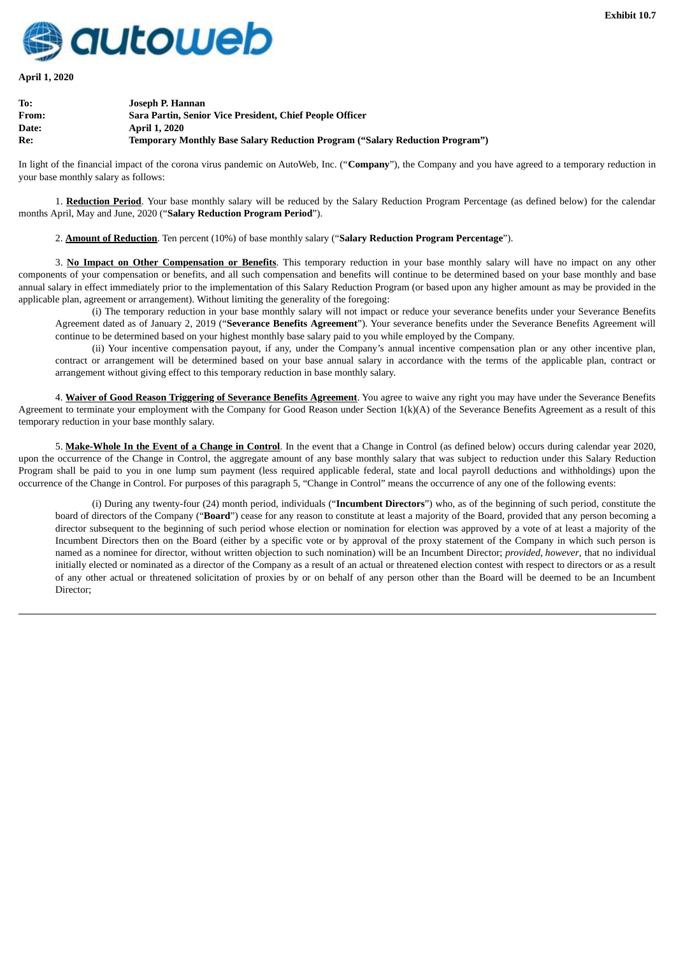<span id="page-32-0"></span>

**April 1, 2020**

| To:   | Joseph P. Hannan                                                                    |
|-------|-------------------------------------------------------------------------------------|
| From: | Sara Partin, Senior Vice President, Chief People Officer                            |
| Date: | April 1, 2020                                                                       |
| Re:   | <b>Temporary Monthly Base Salary Reduction Program ("Salary Reduction Program")</b> |

In light of the financial impact of the corona virus pandemic on AutoWeb, Inc. ("**Company**"), the Company and you have agreed to a temporary reduction in your base monthly salary as follows:

1. **Reduction Period**. Your base monthly salary will be reduced by the Salary Reduction Program Percentage (as defined below) for the calendar months April, May and June, 2020 ("**Salary Reduction Program Period**").

2. **Amount of Reduction**. Ten percent (10%) of base monthly salary ("**Salary Reduction Program Percentage**").

3. **No Impact on Other Compensation or Benefits**. This temporary reduction in your base monthly salary will have no impact on any other components of your compensation or benefits, and all such compensation and benefits will continue to be determined based on your base monthly and base annual salary in effect immediately prior to the implementation of this Salary Reduction Program (or based upon any higher amount as may be provided in the applicable plan, agreement or arrangement). Without limiting the generality of the foregoing:

(i) The temporary reduction in your base monthly salary will not impact or reduce your severance benefits under your Severance Benefits Agreement dated as of January 2, 2019 ("**Severance Benefits Agreement**"). Your severance benefits under the Severance Benefits Agreement will continue to be determined based on your highest monthly base salary paid to you while employed by the Company.

(ii) Your incentive compensation payout, if any, under the Company's annual incentive compensation plan or any other incentive plan, contract or arrangement will be determined based on your base annual salary in accordance with the terms of the applicable plan, contract or arrangement without giving effect to this temporary reduction in base monthly salary.

4. **Waiver of Good Reason Triggering of Severance Benefits Agreement**. You agree to waive any right you may have under the Severance Benefits Agreement to terminate your employment with the Company for Good Reason under Section 1(k)(A) of the Severance Benefits Agreement as a result of this temporary reduction in your base monthly salary.

5. **Make-Whole In the Event of a Change in Control**. In the event that a Change in Control (as defined below) occurs during calendar year 2020, upon the occurrence of the Change in Control, the aggregate amount of any base monthly salary that was subject to reduction under this Salary Reduction Program shall be paid to you in one lump sum payment (less required applicable federal, state and local payroll deductions and withholdings) upon the occurrence of the Change in Control. For purposes of this paragraph 5, "Change in Control" means the occurrence of any one of the following events:

(i) During any twenty-four (24) month period, individuals ("**Incumbent Directors**") who, as of the beginning of such period, constitute the board of directors of the Company ("**Board**") cease for any reason to constitute at least a majority of the Board, provided that any person becoming a director subsequent to the beginning of such period whose election or nomination for election was approved by a vote of at least a majority of the Incumbent Directors then on the Board (either by a specific vote or by approval of the proxy statement of the Company in which such person is named as a nominee for director, without written objection to such nomination) will be an Incumbent Director; *provided, however*, that no individual initially elected or nominated as a director of the Company as a result of an actual or threatened election contest with respect to directors or as a result of any other actual or threatened solicitation of proxies by or on behalf of any person other than the Board will be deemed to be an Incumbent Director;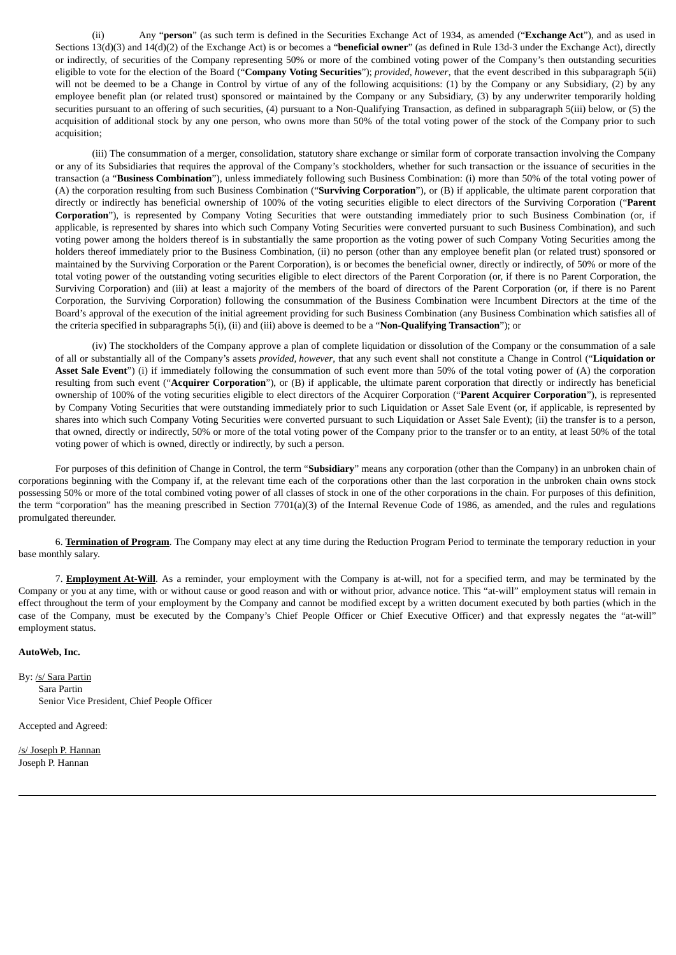(ii) Any "**person**" (as such term is defined in the Securities Exchange Act of 1934, as amended ("**Exchange Act**"), and as used in Sections 13(d)(3) and 14(d)(2) of the Exchange Act) is or becomes a "**beneficial owner**" (as defined in Rule 13d-3 under the Exchange Act), directly or indirectly, of securities of the Company representing 50% or more of the combined voting power of the Company's then outstanding securities eligible to vote for the election of the Board ("**Company Voting Securities**"); *provided, however*, that the event described in this subparagraph 5(ii) will not be deemed to be a Change in Control by virtue of any of the following acquisitions: (1) by the Company or any Subsidiary, (2) by any employee benefit plan (or related trust) sponsored or maintained by the Company or any Subsidiary, (3) by any underwriter temporarily holding securities pursuant to an offering of such securities, (4) pursuant to a Non-Qualifying Transaction, as defined in subparagraph 5(iii) below, or (5) the acquisition of additional stock by any one person, who owns more than 50% of the total voting power of the stock of the Company prior to such acquisition;

(iii) The consummation of a merger, consolidation, statutory share exchange or similar form of corporate transaction involving the Company or any of its Subsidiaries that requires the approval of the Company's stockholders, whether for such transaction or the issuance of securities in the transaction (a "**Business Combination**"), unless immediately following such Business Combination: (i) more than 50% of the total voting power of (A) the corporation resulting from such Business Combination ("**Surviving Corporation**"), or (B) if applicable, the ultimate parent corporation that directly or indirectly has beneficial ownership of 100% of the voting securities eligible to elect directors of the Surviving Corporation ("**Parent Corporation**"), is represented by Company Voting Securities that were outstanding immediately prior to such Business Combination (or, if applicable, is represented by shares into which such Company Voting Securities were converted pursuant to such Business Combination), and such voting power among the holders thereof is in substantially the same proportion as the voting power of such Company Voting Securities among the holders thereof immediately prior to the Business Combination, (ii) no person (other than any employee benefit plan (or related trust) sponsored or maintained by the Surviving Corporation or the Parent Corporation), is or becomes the beneficial owner, directly or indirectly, of 50% or more of the total voting power of the outstanding voting securities eligible to elect directors of the Parent Corporation (or, if there is no Parent Corporation, the Surviving Corporation) and (iii) at least a majority of the members of the board of directors of the Parent Corporation (or, if there is no Parent Corporation, the Surviving Corporation) following the consummation of the Business Combination were Incumbent Directors at the time of the Board's approval of the execution of the initial agreement providing for such Business Combination (any Business Combination which satisfies all of the criteria specified in subparagraphs 5(i), (ii) and (iii) above is deemed to be a "**Non-Qualifying Transaction**"); or

(iv) The stockholders of the Company approve a plan of complete liquidation or dissolution of the Company or the consummation of a sale of all or substantially all of the Company's assets *provided, however*, that any such event shall not constitute a Change in Control ("**Liquidation or** Asset Sale Event") (i) if immediately following the consummation of such event more than 50% of the total voting power of (A) the corporation resulting from such event ("**Acquirer Corporation**"), or (B) if applicable, the ultimate parent corporation that directly or indirectly has beneficial ownership of 100% of the voting securities eligible to elect directors of the Acquirer Corporation ("**Parent Acquirer Corporation**"), is represented by Company Voting Securities that were outstanding immediately prior to such Liquidation or Asset Sale Event (or, if applicable, is represented by shares into which such Company Voting Securities were converted pursuant to such Liquidation or Asset Sale Event); (ii) the transfer is to a person, that owned, directly or indirectly, 50% or more of the total voting power of the Company prior to the transfer or to an entity, at least 50% of the total voting power of which is owned, directly or indirectly, by such a person.

For purposes of this definition of Change in Control, the term "**Subsidiary**" means any corporation (other than the Company) in an unbroken chain of corporations beginning with the Company if, at the relevant time each of the corporations other than the last corporation in the unbroken chain owns stock possessing 50% or more of the total combined voting power of all classes of stock in one of the other corporations in the chain. For purposes of this definition, the term "corporation" has the meaning prescribed in Section 7701(a)(3) of the Internal Revenue Code of 1986, as amended, and the rules and regulations promulgated thereunder.

6. **Termination of Program**. The Company may elect at any time during the Reduction Program Period to terminate the temporary reduction in your base monthly salary.

7. **Employment At-Will**. As a reminder, your employment with the Company is at-will, not for a specified term, and may be terminated by the Company or you at any time, with or without cause or good reason and with or without prior, advance notice. This "at-will" employment status will remain in effect throughout the term of your employment by the Company and cannot be modified except by a written document executed by both parties (which in the case of the Company, must be executed by the Company's Chief People Officer or Chief Executive Officer) and that expressly negates the "at-will" employment status.

#### **AutoWeb, Inc.**

By: /s/ Sara Partin Sara Partin Senior Vice President, Chief People Officer

Accepted and Agreed:

/s/ Joseph P. Hannan Joseph P. Hannan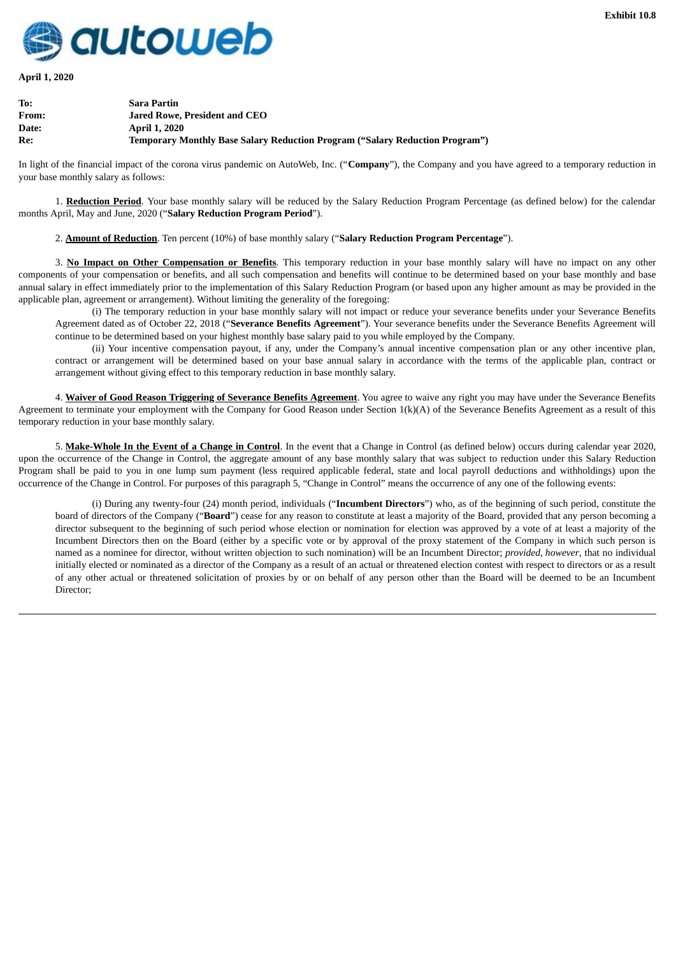<span id="page-34-0"></span>

**April 1, 2020**

| To:   | Sara Partin                                                                         |
|-------|-------------------------------------------------------------------------------------|
| From: | Jared Rowe. President and CEO                                                       |
| Date: | April 1, 2020                                                                       |
| Re:   | <b>Temporary Monthly Base Salary Reduction Program ("Salary Reduction Program")</b> |

In light of the financial impact of the corona virus pandemic on AutoWeb, Inc. ("**Company**"), the Company and you have agreed to a temporary reduction in your base monthly salary as follows:

1. **Reduction Period**. Your base monthly salary will be reduced by the Salary Reduction Program Percentage (as defined below) for the calendar months April, May and June, 2020 ("**Salary Reduction Program Period**").

2. **Amount of Reduction**. Ten percent (10%) of base monthly salary ("**Salary Reduction Program Percentage**").

3. **No Impact on Other Compensation or Benefits**. This temporary reduction in your base monthly salary will have no impact on any other components of your compensation or benefits, and all such compensation and benefits will continue to be determined based on your base monthly and base annual salary in effect immediately prior to the implementation of this Salary Reduction Program (or based upon any higher amount as may be provided in the applicable plan, agreement or arrangement). Without limiting the generality of the foregoing:

(i) The temporary reduction in your base monthly salary will not impact or reduce your severance benefits under your Severance Benefits Agreement dated as of October 22, 2018 ("**Severance Benefits Agreement**"). Your severance benefits under the Severance Benefits Agreement will continue to be determined based on your highest monthly base salary paid to you while employed by the Company.

(ii) Your incentive compensation payout, if any, under the Company's annual incentive compensation plan or any other incentive plan, contract or arrangement will be determined based on your base annual salary in accordance with the terms of the applicable plan, contract or arrangement without giving effect to this temporary reduction in base monthly salary.

4. **Waiver of Good Reason Triggering of Severance Benefits Agreement**. You agree to waive any right you may have under the Severance Benefits Agreement to terminate your employment with the Company for Good Reason under Section 1(k)(A) of the Severance Benefits Agreement as a result of this temporary reduction in your base monthly salary.

5. **Make-Whole In the Event of a Change in Control**. In the event that a Change in Control (as defined below) occurs during calendar year 2020, upon the occurrence of the Change in Control, the aggregate amount of any base monthly salary that was subject to reduction under this Salary Reduction Program shall be paid to you in one lump sum payment (less required applicable federal, state and local payroll deductions and withholdings) upon the occurrence of the Change in Control. For purposes of this paragraph 5, "Change in Control" means the occurrence of any one of the following events:

(i) During any twenty-four (24) month period, individuals ("**Incumbent Directors**") who, as of the beginning of such period, constitute the board of directors of the Company ("**Board**") cease for any reason to constitute at least a majority of the Board, provided that any person becoming a director subsequent to the beginning of such period whose election or nomination for election was approved by a vote of at least a majority of the Incumbent Directors then on the Board (either by a specific vote or by approval of the proxy statement of the Company in which such person is named as a nominee for director, without written objection to such nomination) will be an Incumbent Director; *provided, however*, that no individual initially elected or nominated as a director of the Company as a result of an actual or threatened election contest with respect to directors or as a result of any other actual or threatened solicitation of proxies by or on behalf of any person other than the Board will be deemed to be an Incumbent Director;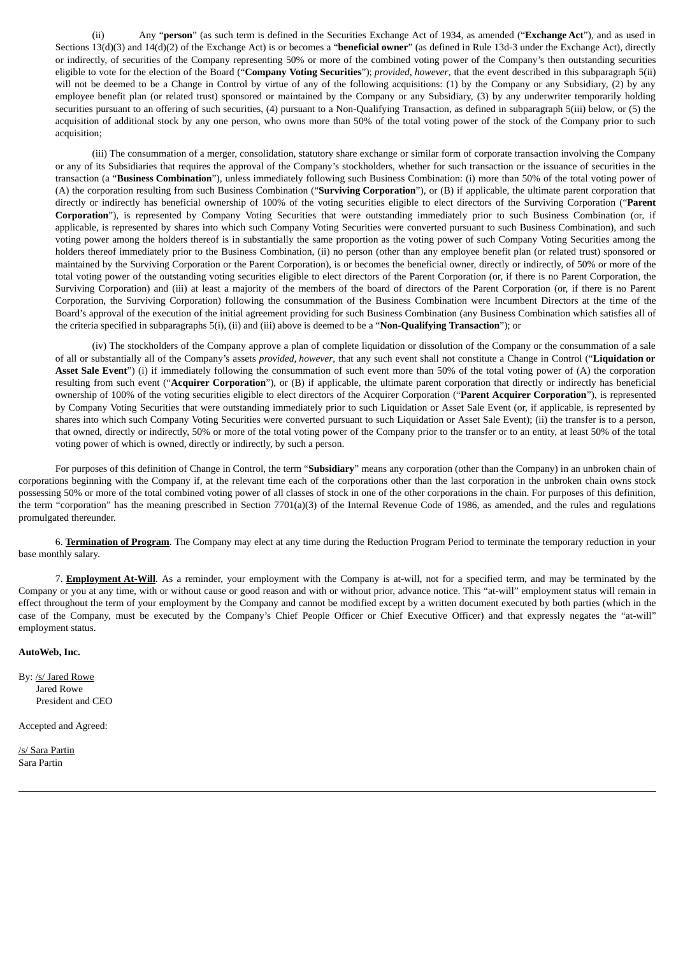(ii) Any "**person**" (as such term is defined in the Securities Exchange Act of 1934, as amended ("**Exchange Act**"), and as used in Sections 13(d)(3) and 14(d)(2) of the Exchange Act) is or becomes a "**beneficial owner**" (as defined in Rule 13d-3 under the Exchange Act), directly or indirectly, of securities of the Company representing 50% or more of the combined voting power of the Company's then outstanding securities eligible to vote for the election of the Board ("**Company Voting Securities**"); *provided, however*, that the event described in this subparagraph 5(ii) will not be deemed to be a Change in Control by virtue of any of the following acquisitions: (1) by the Company or any Subsidiary, (2) by any employee benefit plan (or related trust) sponsored or maintained by the Company or any Subsidiary, (3) by any underwriter temporarily holding securities pursuant to an offering of such securities, (4) pursuant to a Non-Qualifying Transaction, as defined in subparagraph 5(iii) below, or (5) the acquisition of additional stock by any one person, who owns more than 50% of the total voting power of the stock of the Company prior to such acquisition;

(iii) The consummation of a merger, consolidation, statutory share exchange or similar form of corporate transaction involving the Company or any of its Subsidiaries that requires the approval of the Company's stockholders, whether for such transaction or the issuance of securities in the transaction (a "**Business Combination**"), unless immediately following such Business Combination: (i) more than 50% of the total voting power of (A) the corporation resulting from such Business Combination ("**Surviving Corporation**"), or (B) if applicable, the ultimate parent corporation that directly or indirectly has beneficial ownership of 100% of the voting securities eligible to elect directors of the Surviving Corporation ("**Parent Corporation**"), is represented by Company Voting Securities that were outstanding immediately prior to such Business Combination (or, if applicable, is represented by shares into which such Company Voting Securities were converted pursuant to such Business Combination), and such voting power among the holders thereof is in substantially the same proportion as the voting power of such Company Voting Securities among the holders thereof immediately prior to the Business Combination, (ii) no person (other than any employee benefit plan (or related trust) sponsored or maintained by the Surviving Corporation or the Parent Corporation), is or becomes the beneficial owner, directly or indirectly, of 50% or more of the total voting power of the outstanding voting securities eligible to elect directors of the Parent Corporation (or, if there is no Parent Corporation, the Surviving Corporation) and (iii) at least a majority of the members of the board of directors of the Parent Corporation (or, if there is no Parent Corporation, the Surviving Corporation) following the consummation of the Business Combination were Incumbent Directors at the time of the Board's approval of the execution of the initial agreement providing for such Business Combination (any Business Combination which satisfies all of the criteria specified in subparagraphs 5(i), (ii) and (iii) above is deemed to be a "**Non-Qualifying Transaction**"); or

(iv) The stockholders of the Company approve a plan of complete liquidation or dissolution of the Company or the consummation of a sale of all or substantially all of the Company's assets *provided, however*, that any such event shall not constitute a Change in Control ("**Liquidation or** Asset Sale Event") (i) if immediately following the consummation of such event more than 50% of the total voting power of (A) the corporation resulting from such event ("**Acquirer Corporation**"), or (B) if applicable, the ultimate parent corporation that directly or indirectly has beneficial ownership of 100% of the voting securities eligible to elect directors of the Acquirer Corporation ("**Parent Acquirer Corporation**"), is represented by Company Voting Securities that were outstanding immediately prior to such Liquidation or Asset Sale Event (or, if applicable, is represented by shares into which such Company Voting Securities were converted pursuant to such Liquidation or Asset Sale Event); (ii) the transfer is to a person, that owned, directly or indirectly, 50% or more of the total voting power of the Company prior to the transfer or to an entity, at least 50% of the total voting power of which is owned, directly or indirectly, by such a person.

For purposes of this definition of Change in Control, the term "**Subsidiary**" means any corporation (other than the Company) in an unbroken chain of corporations beginning with the Company if, at the relevant time each of the corporations other than the last corporation in the unbroken chain owns stock possessing 50% or more of the total combined voting power of all classes of stock in one of the other corporations in the chain. For purposes of this definition, the term "corporation" has the meaning prescribed in Section 7701(a)(3) of the Internal Revenue Code of 1986, as amended, and the rules and regulations promulgated thereunder.

6. **Termination of Program**. The Company may elect at any time during the Reduction Program Period to terminate the temporary reduction in your base monthly salary.

7. **Employment At-Will**. As a reminder, your employment with the Company is at-will, not for a specified term, and may be terminated by the Company or you at any time, with or without cause or good reason and with or without prior, advance notice. This "at-will" employment status will remain in effect throughout the term of your employment by the Company and cannot be modified except by a written document executed by both parties (which in the case of the Company, must be executed by the Company's Chief People Officer or Chief Executive Officer) and that expressly negates the "at-will" employment status.

### **AutoWeb, Inc.**

By: /s/ Jared Rowe Jared Rowe President and CEO

Accepted and Agreed:

/s/ Sara Partin Sara Partin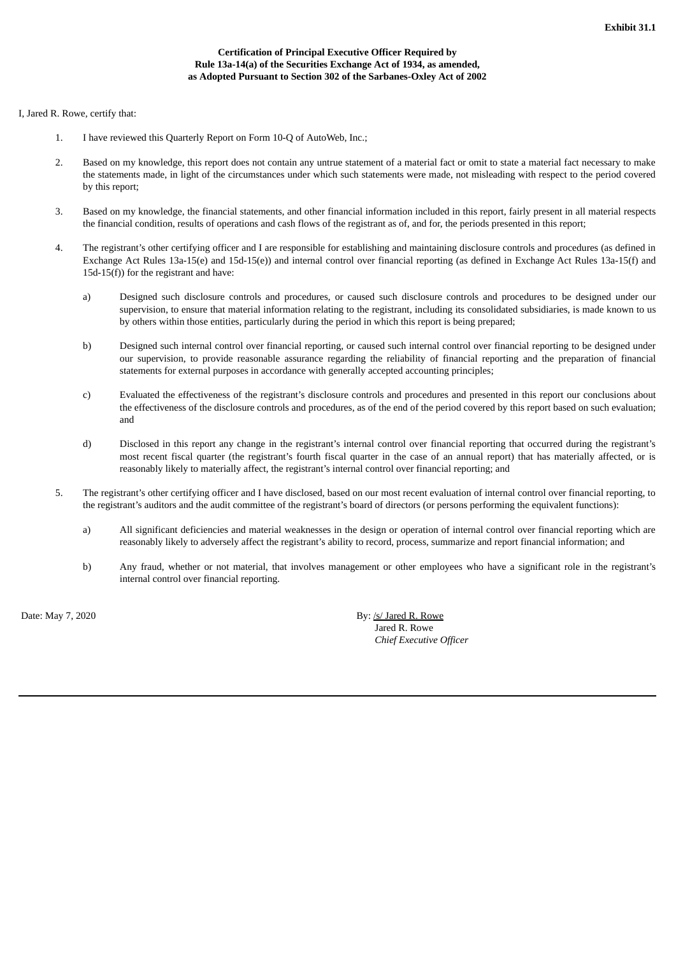### **Certification of Principal Executive Officer Required by Rule 13a-14(a) of the Securities Exchange Act of 1934, as amended, as Adopted Pursuant to Section 302 of the Sarbanes-Oxley Act of 2002**

<span id="page-36-0"></span>I, Jared R. Rowe, certify that:

- 1. I have reviewed this Quarterly Report on Form 10-Q of AutoWeb, Inc.;
- 2. Based on my knowledge, this report does not contain any untrue statement of a material fact or omit to state a material fact necessary to make the statements made, in light of the circumstances under which such statements were made, not misleading with respect to the period covered by this report;
- 3. Based on my knowledge, the financial statements, and other financial information included in this report, fairly present in all material respects the financial condition, results of operations and cash flows of the registrant as of, and for, the periods presented in this report;
- 4. The registrant's other certifying officer and I are responsible for establishing and maintaining disclosure controls and procedures (as defined in Exchange Act Rules 13a-15(e) and 15d-15(e)) and internal control over financial reporting (as defined in Exchange Act Rules 13a-15(f) and 15d-15(f)) for the registrant and have:
	- a) Designed such disclosure controls and procedures, or caused such disclosure controls and procedures to be designed under our supervision, to ensure that material information relating to the registrant, including its consolidated subsidiaries, is made known to us by others within those entities, particularly during the period in which this report is being prepared;
	- b) Designed such internal control over financial reporting, or caused such internal control over financial reporting to be designed under our supervision, to provide reasonable assurance regarding the reliability of financial reporting and the preparation of financial statements for external purposes in accordance with generally accepted accounting principles;
	- c) Evaluated the effectiveness of the registrant's disclosure controls and procedures and presented in this report our conclusions about the effectiveness of the disclosure controls and procedures, as of the end of the period covered by this report based on such evaluation; and
	- d) Disclosed in this report any change in the registrant's internal control over financial reporting that occurred during the registrant's most recent fiscal quarter (the registrant's fourth fiscal quarter in the case of an annual report) that has materially affected, or is reasonably likely to materially affect, the registrant's internal control over financial reporting; and
- 5. The registrant's other certifying officer and I have disclosed, based on our most recent evaluation of internal control over financial reporting, to the registrant's auditors and the audit committee of the registrant's board of directors (or persons performing the equivalent functions):
	- a) All significant deficiencies and material weaknesses in the design or operation of internal control over financial reporting which are reasonably likely to adversely affect the registrant's ability to record, process, summarize and report financial information; and
	- b) Any fraud, whether or not material, that involves management or other employees who have a significant role in the registrant's internal control over financial reporting.

Date: May 7, 2020 By: /s/ Jared R. Rowe Jared R. Rowe *Chief Executive Officer*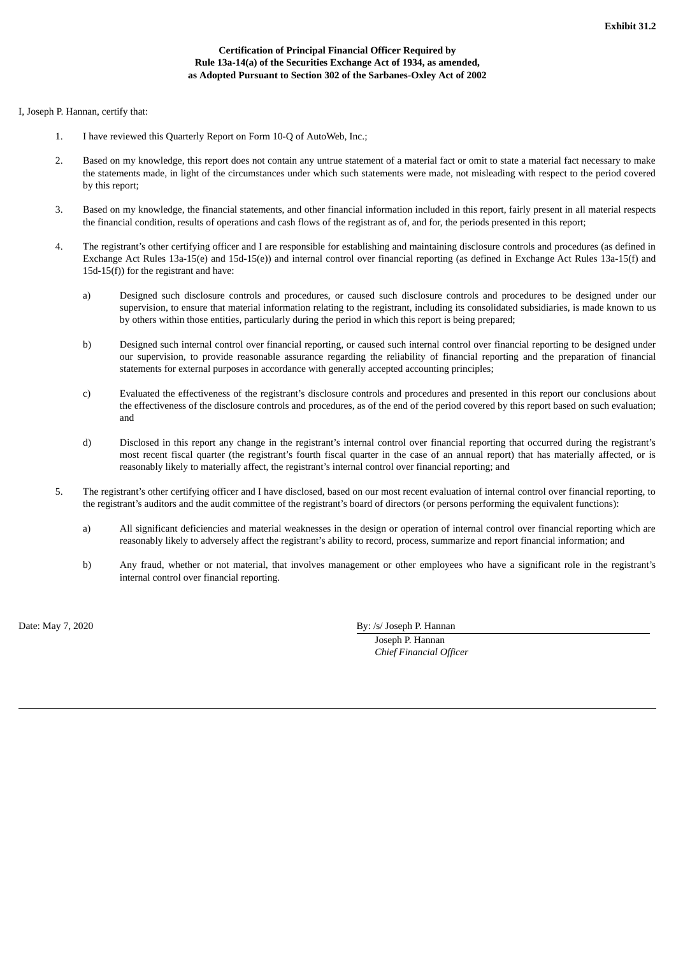### **Certification of Principal Financial Officer Required by Rule 13a-14(a) of the Securities Exchange Act of 1934, as amended, as Adopted Pursuant to Section 302 of the Sarbanes-Oxley Act of 2002**

<span id="page-37-0"></span>I, Joseph P. Hannan, certify that:

- 1. I have reviewed this Quarterly Report on Form 10-Q of AutoWeb, Inc.;
- 2. Based on my knowledge, this report does not contain any untrue statement of a material fact or omit to state a material fact necessary to make the statements made, in light of the circumstances under which such statements were made, not misleading with respect to the period covered by this report;
- 3. Based on my knowledge, the financial statements, and other financial information included in this report, fairly present in all material respects the financial condition, results of operations and cash flows of the registrant as of, and for, the periods presented in this report;
- 4. The registrant's other certifying officer and I are responsible for establishing and maintaining disclosure controls and procedures (as defined in Exchange Act Rules 13a-15(e) and 15d-15(e)) and internal control over financial reporting (as defined in Exchange Act Rules 13a-15(f) and 15d-15(f)) for the registrant and have:
	- a) Designed such disclosure controls and procedures, or caused such disclosure controls and procedures to be designed under our supervision, to ensure that material information relating to the registrant, including its consolidated subsidiaries, is made known to us by others within those entities, particularly during the period in which this report is being prepared;
	- b) Designed such internal control over financial reporting, or caused such internal control over financial reporting to be designed under our supervision, to provide reasonable assurance regarding the reliability of financial reporting and the preparation of financial statements for external purposes in accordance with generally accepted accounting principles;
	- c) Evaluated the effectiveness of the registrant's disclosure controls and procedures and presented in this report our conclusions about the effectiveness of the disclosure controls and procedures, as of the end of the period covered by this report based on such evaluation; and
	- d) Disclosed in this report any change in the registrant's internal control over financial reporting that occurred during the registrant's most recent fiscal quarter (the registrant's fourth fiscal quarter in the case of an annual report) that has materially affected, or is reasonably likely to materially affect, the registrant's internal control over financial reporting; and
- 5. The registrant's other certifying officer and I have disclosed, based on our most recent evaluation of internal control over financial reporting, to the registrant's auditors and the audit committee of the registrant's board of directors (or persons performing the equivalent functions):
	- a) All significant deficiencies and material weaknesses in the design or operation of internal control over financial reporting which are reasonably likely to adversely affect the registrant's ability to record, process, summarize and report financial information; and
	- b) Any fraud, whether or not material, that involves management or other employees who have a significant role in the registrant's internal control over financial reporting.

Date: May 7, 2020 By: /s/ Joseph P. Hannan

Joseph P. Hannan *Chief Financial Officer*